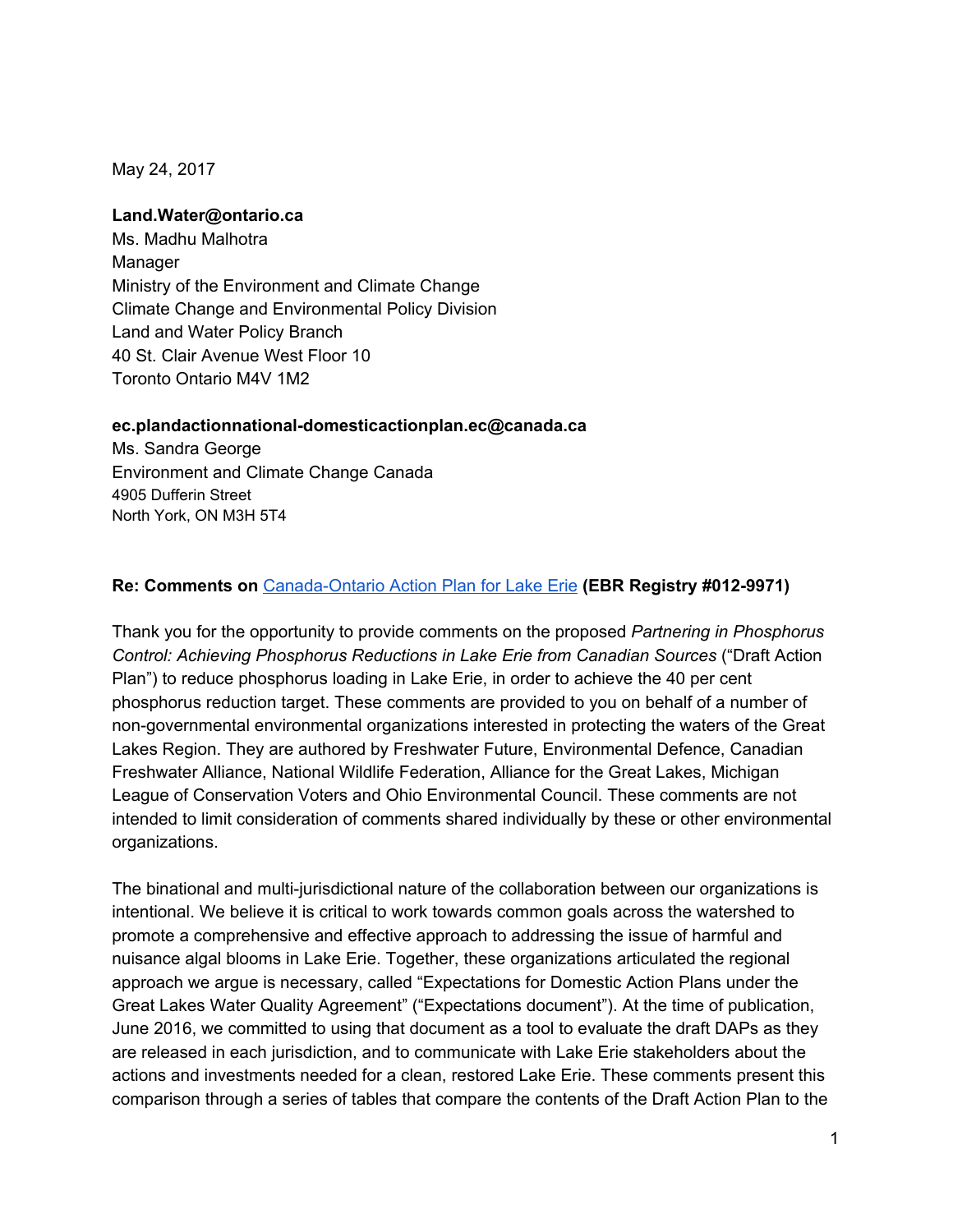May 24, 2017

#### **Land.Water@ontario.ca**

Ms. Madhu Malhotra Manager Ministry of the Environment and Climate Change Climate Change and Environmental Policy Division Land and Water Policy Branch 40 St. Clair Avenue West Floor 10 Toronto Ontario M4V 1M2

#### **[ec.plandactionnational-domesticactionplan.ec@canada.ca](mailto:ec.plandactionnational-domesticactionplan.ec@canada.ca)**

Ms. Sandra George Environment and Climate Change Canada 4905 Dufferin Street North York, ON M3H 5T4

#### **Re: Comments on** [Canada-Ontario](https://www.ebr.gov.on.ca/ERS-WEB-External/displaynoticecontent.do?noticeId=MTMxOTM3&statusId=MjAwMjQ2&language=en) [Action](https://www.ebr.gov.on.ca/ERS-WEB-External/displaynoticecontent.do?noticeId=MTMxOTM3&statusId=MjAwMjQ2&language=en) Plan for Lake Erie **(EBR Registry #012-9971)**

Thank you for the opportunity to provide comments on the proposed *Partnering in Phosphorus Control: Achieving Phosphorus Reductions in Lake Erie from Canadian Sources* ("Draft Action Plan") to reduce phosphorus loading in Lake Erie, in order to achieve the 40 per cent phosphorus reduction target. These comments are provided to you on behalf of a number of non-governmental environmental organizations interested in protecting the waters of the Great Lakes Region. They are authored by Freshwater Future, Environmental Defence, Canadian Freshwater Alliance, National Wildlife Federation, Alliance for the Great Lakes, Michigan League of Conservation Voters and Ohio Environmental Council. These comments are not intended to limit consideration of comments shared individually by these or other environmental organizations.

The binational and multi-jurisdictional nature of the collaboration between our organizations is intentional. We believe it is critical to work towards common goals across the watershed to promote a comprehensive and effective approach to addressing the issue of harmful and nuisance algal blooms in Lake Erie. Together, these organizations articulated the regional approach we argue is necessary, called "Expectations for Domestic Action Plans under the Great Lakes Water Quality Agreement" ("Expectations document"). At the time of publication, June 2016, we committed to using that document as a tool to evaluate the draft DAPs as they are released in each jurisdiction, and to communicate with Lake Erie stakeholders about the actions and investments needed for a clean, restored Lake Erie. These comments present this comparison through a series of tables that compare the contents of the Draft Action Plan to the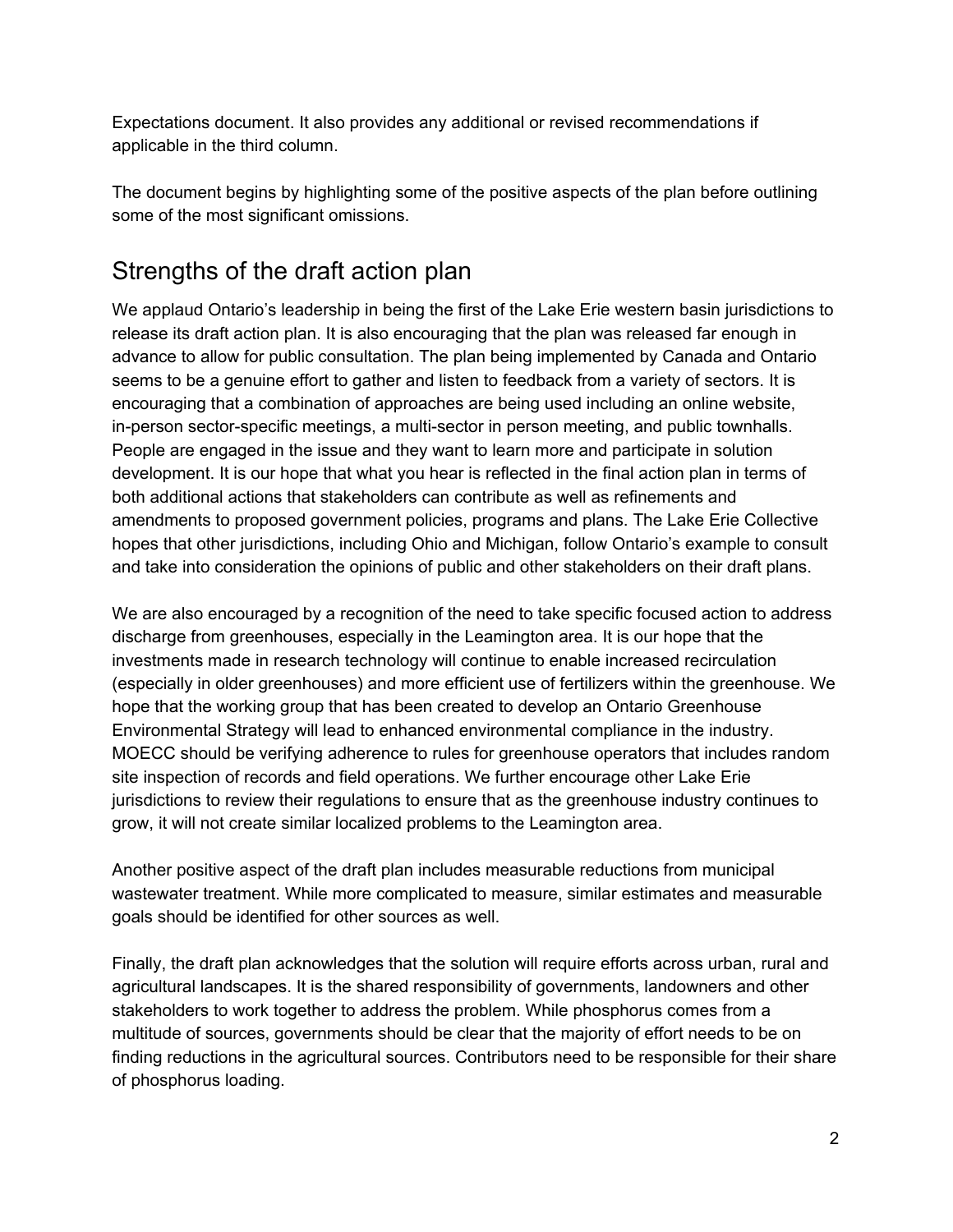Expectations document. It also provides any additional or revised recommendations if applicable in the third column.

The document begins by highlighting some of the positive aspects of the plan before outlining some of the most significant omissions.

# Strengths of the draft action plan

We applaud Ontario's leadership in being the first of the Lake Erie western basin jurisdictions to release its draft action plan. It is also encouraging that the plan was released far enough in advance to allow for public consultation. The plan being implemented by Canada and Ontario seems to be a genuine effort to gather and listen to feedback from a variety of sectors. It is encouraging that a combination of approaches are being used including an online website, in-person sector-specific meetings, a multi-sector in person meeting, and public townhalls. People are engaged in the issue and they want to learn more and participate in solution development. It is our hope that what you hear is reflected in the final action plan in terms of both additional actions that stakeholders can contribute as well as refinements and amendments to proposed government policies, programs and plans. The Lake Erie Collective hopes that other jurisdictions, including Ohio and Michigan, follow Ontario's example to consult and take into consideration the opinions of public and other stakeholders on their draft plans.

We are also encouraged by a recognition of the need to take specific focused action to address discharge from greenhouses, especially in the Leamington area. It is our hope that the investments made in research technology will continue to enable increased recirculation (especially in older greenhouses) and more efficient use of fertilizers within the greenhouse. We hope that the working group that has been created to develop an Ontario Greenhouse Environmental Strategy will lead to enhanced environmental compliance in the industry. MOECC should be verifying adherence to rules for greenhouse operators that includes random site inspection of records and field operations. We further encourage other Lake Erie jurisdictions to review their regulations to ensure that as the greenhouse industry continues to grow, it will not create similar localized problems to the Leamington area.

Another positive aspect of the draft plan includes measurable reductions from municipal wastewater treatment. While more complicated to measure, similar estimates and measurable goals should be identified for other sources as well.

Finally, the draft plan acknowledges that the solution will require efforts across urban, rural and agricultural landscapes. It is the shared responsibility of governments, landowners and other stakeholders to work together to address the problem. While phosphorus comes from a multitude of sources, governments should be clear that the majority of effort needs to be on finding reductions in the agricultural sources. Contributors need to be responsible for their share of phosphorus loading.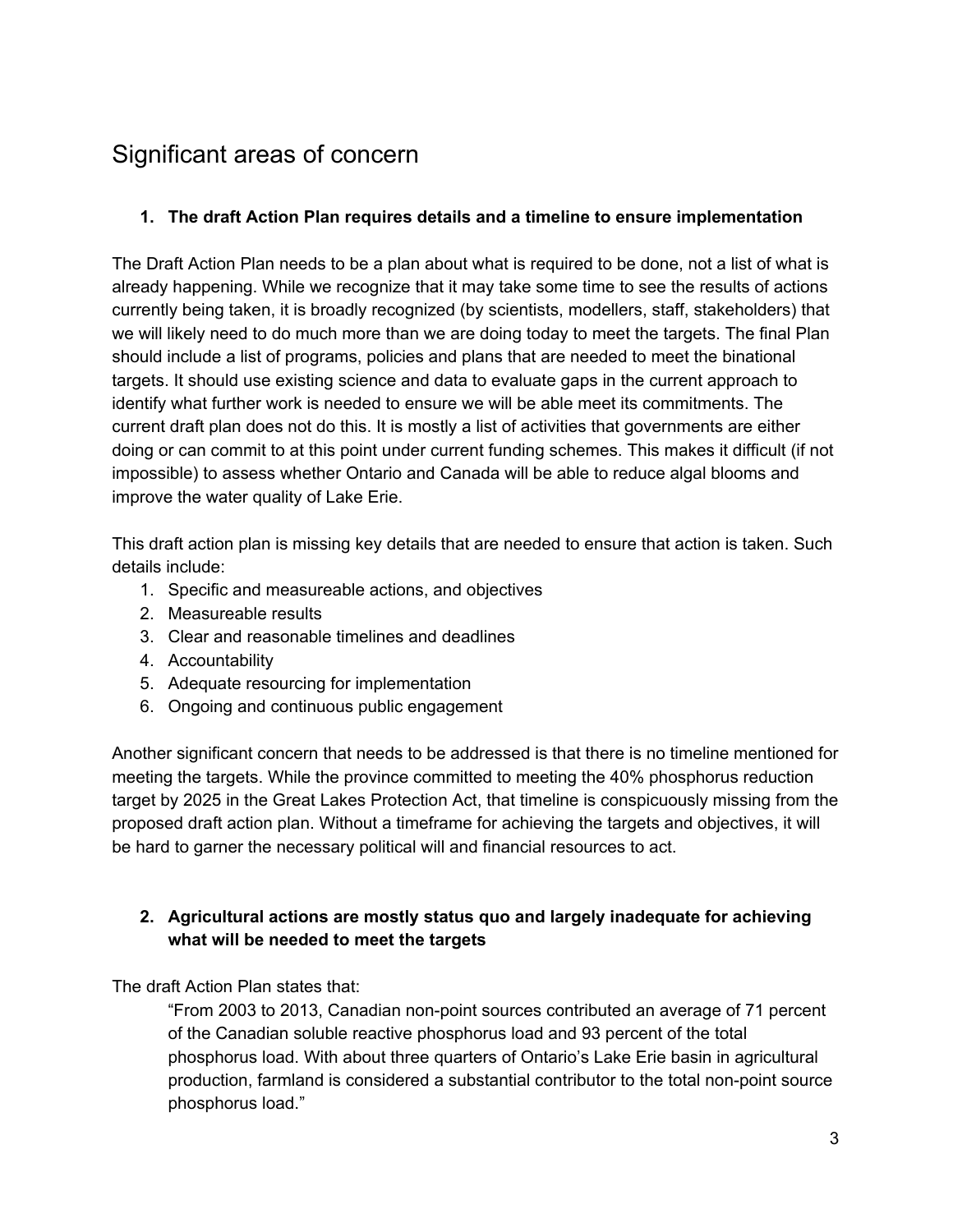# Significant areas of concern

## **1. The draft Action Plan requires details and a timeline to ensure implementation**

The Draft Action Plan needs to be a plan about what is required to be done, not a list of what is already happening. While we recognize that it may take some time to see the results of actions currently being taken, it is broadly recognized (by scientists, modellers, staff, stakeholders) that we will likely need to do much more than we are doing today to meet the targets. The final Plan should include a list of programs, policies and plans that are needed to meet the binational targets. It should use existing science and data to evaluate gaps in the current approach to identify what further work is needed to ensure we will be able meet its commitments. The current draft plan does not do this. It is mostly a list of activities that governments are either doing or can commit to at this point under current funding schemes. This makes it difficult (if not impossible) to assess whether Ontario and Canada will be able to reduce algal blooms and improve the water quality of Lake Erie.

This draft action plan is missing key details that are needed to ensure that action is taken. Such details include:

- 1. Specific and measureable actions, and objectives
- 2. Measureable results
- 3. Clear and reasonable timelines and deadlines
- 4. Accountability
- 5. Adequate resourcing for implementation
- 6. Ongoing and continuous public engagement

Another significant concern that needs to be addressed is that there is no timeline mentioned for meeting the targets. While the province committed to meeting the 40% phosphorus reduction target by 2025 in the Great Lakes Protection Act, that timeline is conspicuously missing from the proposed draft action plan. Without a timeframe for achieving the targets and objectives, it will be hard to garner the necessary political will and financial resources to act.

## **2. Agricultural actions are mostly status quo and largely inadequate for achieving what will be needed to meet the targets**

The draft Action Plan states that:

"From 2003 to 2013, Canadian non-point sources contributed an average of 71 percent of the Canadian soluble reactive phosphorus load and 93 percent of the total phosphorus load. With about three quarters of Ontario's Lake Erie basin in agricultural production, farmland is considered a substantial contributor to the total non-point source phosphorus load."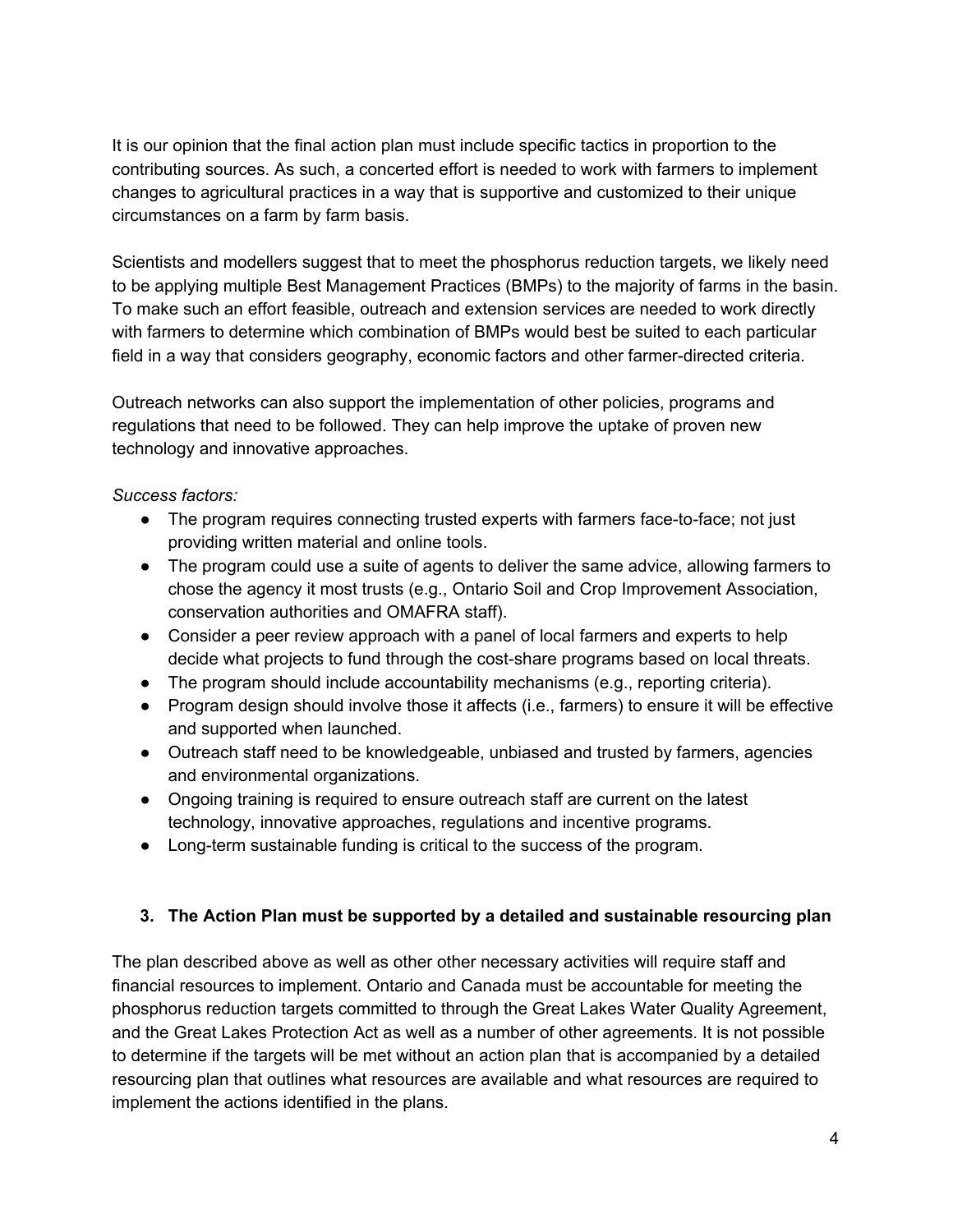It is our opinion that the final action plan must include specific tactics in proportion to the contributing sources. As such, a concerted effort is needed to work with farmers to implement changes to agricultural practices in a way that is supportive and customized to their unique circumstances on a farm by farm basis.

Scientists and modellers suggest that to meet the phosphorus reduction targets, we likely need to be applying multiple Best Management Practices (BMPs) to the majority of farms in the basin. To make such an effort feasible, outreach and extension services are needed to work directly with farmers to determine which combination of BMPs would best be suited to each particular field in a way that considers geography, economic factors and other farmer-directed criteria.

Outreach networks can also support the implementation of other policies, programs and regulations that need to be followed. They can help improve the uptake of proven new technology and innovative approaches.

### *Success factors:*

- The program requires connecting trusted experts with farmers face-to-face; not just providing written material and online tools.
- The program could use a suite of agents to deliver the same advice, allowing farmers to chose the agency it most trusts (e.g., Ontario Soil and Crop Improvement Association, conservation authorities and OMAFRA staff).
- Consider a peer review approach with a panel of local farmers and experts to help decide what projects to fund through the cost-share programs based on local threats.
- The program should include accountability mechanisms (e.g., reporting criteria).
- Program design should involve those it affects (i.e., farmers) to ensure it will be effective and supported when launched.
- Outreach staff need to be knowledgeable, unbiased and trusted by farmers, agencies and environmental organizations.
- Ongoing training is required to ensure outreach staff are current on the latest technology, innovative approaches, regulations and incentive programs.
- Long-term sustainable funding is critical to the success of the program.

# **3. The Action Plan must be supported by a detailed and sustainable resourcing plan**

The plan described above as well as other other necessary activities will require staff and financial resources to implement. Ontario and Canada must be accountable for meeting the phosphorus reduction targets committed to through the Great Lakes Water Quality Agreement, and the Great Lakes Protection Act as well as a number of other agreements. It is not possible to determine if the targets will be met without an action plan that is accompanied by a detailed resourcing plan that outlines what resources are available and what resources are required to implement the actions identified in the plans.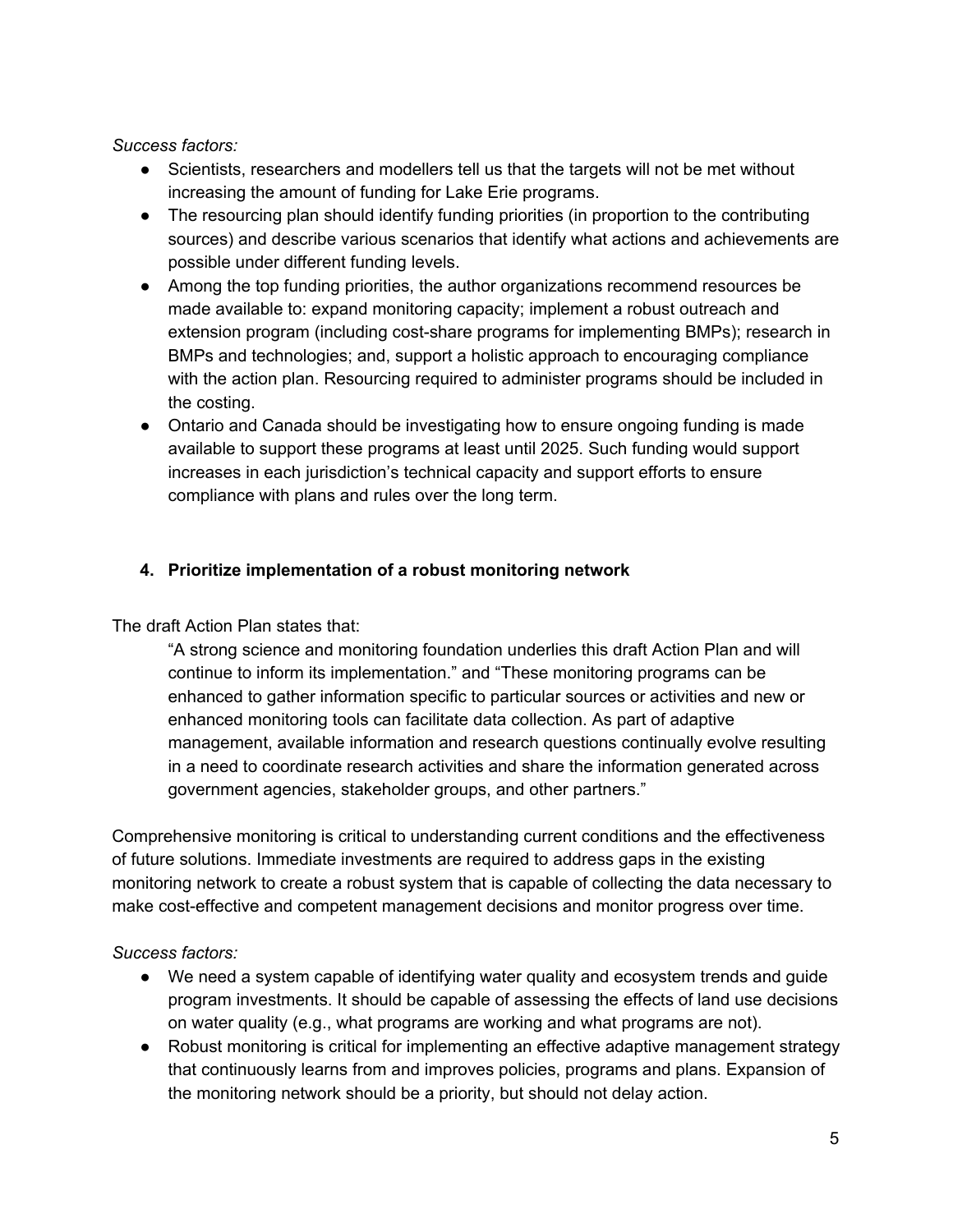*Success factors:*

- Scientists, researchers and modellers tell us that the targets will not be met without increasing the amount of funding for Lake Erie programs.
- The resourcing plan should identify funding priorities (in proportion to the contributing sources) and describe various scenarios that identify what actions and achievements are possible under different funding levels.
- Among the top funding priorities, the author organizations recommend resources be made available to: expand monitoring capacity; implement a robust outreach and extension program (including cost-share programs for implementing BMPs); research in BMPs and technologies; and, support a holistic approach to encouraging compliance with the action plan. Resourcing required to administer programs should be included in the costing.
- Ontario and Canada should be investigating how to ensure ongoing funding is made available to support these programs at least until 2025. Such funding would support increases in each jurisdiction's technical capacity and support efforts to ensure compliance with plans and rules over the long term.

## **4. Prioritize implementation of a robust monitoring network**

### The draft Action Plan states that:

"A strong science and monitoring foundation underlies this draft Action Plan and will continue to inform its implementation." and "These monitoring programs can be enhanced to gather information specific to particular sources or activities and new or enhanced monitoring tools can facilitate data collection. As part of adaptive management, available information and research questions continually evolve resulting in a need to coordinate research activities and share the information generated across government agencies, stakeholder groups, and other partners."

Comprehensive monitoring is critical to understanding current conditions and the effectiveness of future solutions. Immediate investments are required to address gaps in the existing monitoring network to create a robust system that is capable of collecting the data necessary to make cost-effective and competent management decisions and monitor progress over time.

### *Success factors:*

- We need a system capable of identifying water quality and ecosystem trends and guide program investments. It should be capable of assessing the effects of land use decisions on water quality (e.g., what programs are working and what programs are not).
- Robust monitoring is critical for implementing an effective adaptive management strategy that continuously learns from and improves policies, programs and plans. Expansion of the monitoring network should be a priority, but should not delay action.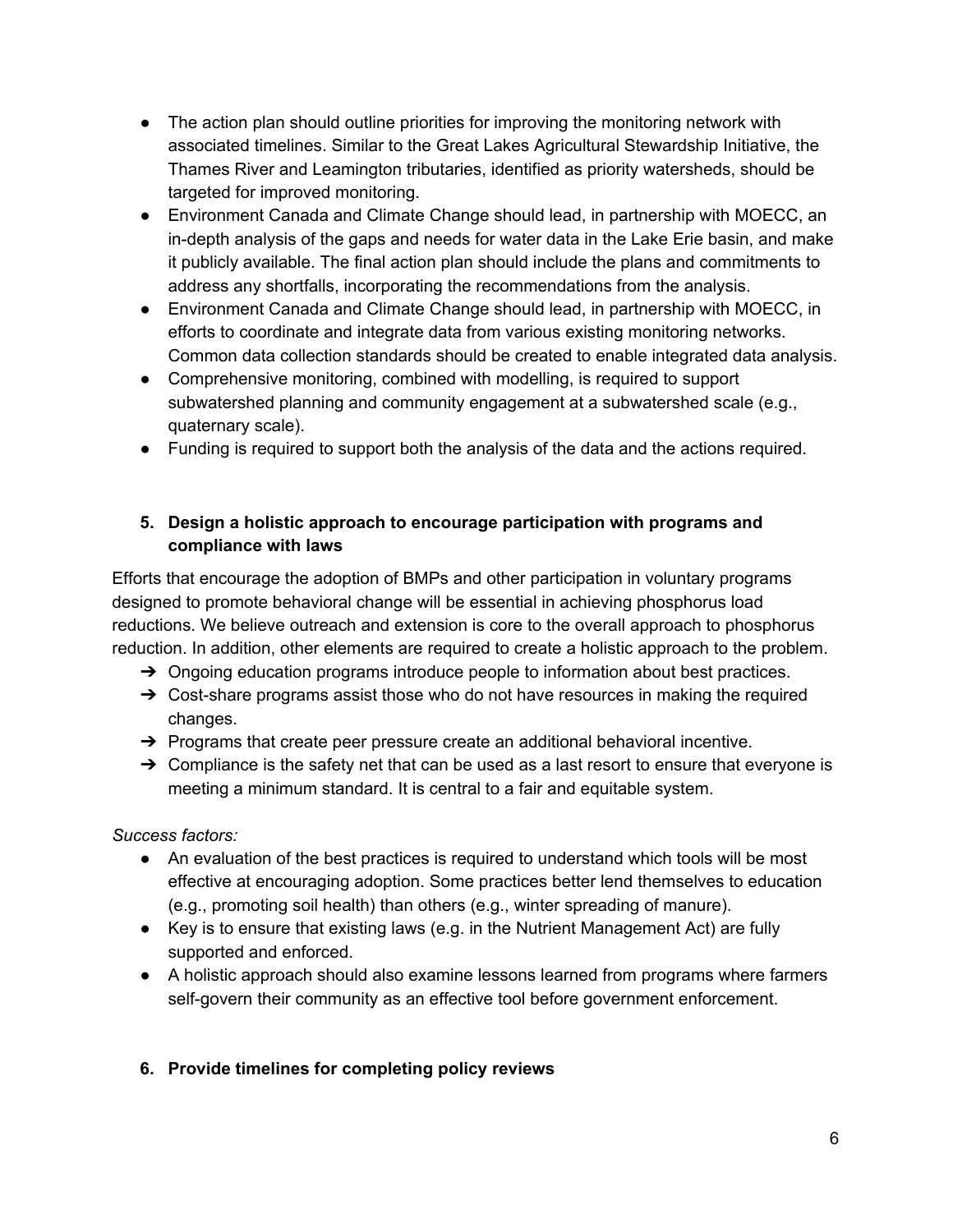- The action plan should outline priorities for improving the monitoring network with associated timelines. Similar to the Great Lakes Agricultural Stewardship Initiative, the Thames River and Leamington tributaries, identified as priority watersheds, should be targeted for improved monitoring.
- Environment Canada and Climate Change should lead, in partnership with MOECC, an in-depth analysis of the gaps and needs for water data in the Lake Erie basin, and make it publicly available. The final action plan should include the plans and commitments to address any shortfalls, incorporating the recommendations from the analysis.
- Environment Canada and Climate Change should lead, in partnership with MOECC, in efforts to coordinate and integrate data from various existing monitoring networks. Common data collection standards should be created to enable integrated data analysis.
- Comprehensive monitoring, combined with modelling, is required to support subwatershed planning and community engagement at a subwatershed scale (e.g., quaternary scale).
- Funding is required to support both the analysis of the data and the actions required.

# **5. Design a holistic approach to encourage participation with programs and compliance with laws**

Efforts that encourage the adoption of BMPs and other participation in voluntary programs designed to promote behavioral change will be essential in achieving phosphorus load reductions. We believe outreach and extension is core to the overall approach to phosphorus reduction. In addition, other elements are required to create a holistic approach to the problem.

- $\rightarrow$  Ongoing education programs introduce people to information about best practices.
- $\rightarrow$  Cost-share programs assist those who do not have resources in making the required changes.
- $\rightarrow$  Programs that create peer pressure create an additional behavioral incentive.
- $\rightarrow$  Compliance is the safety net that can be used as a last resort to ensure that everyone is meeting a minimum standard. It is central to a fair and equitable system.

*Success factors:*

- An evaluation of the best practices is required to understand which tools will be most effective at encouraging adoption. Some practices better lend themselves to education (e.g., promoting soil health) than others (e.g., winter spreading of manure).
- Key is to ensure that existing laws (e.g. in the Nutrient Management Act) are fully supported and enforced.
- A holistic approach should also examine lessons learned from programs where farmers self-govern their community as an effective tool before government enforcement.

# **6. Provide timelines for completing policy reviews**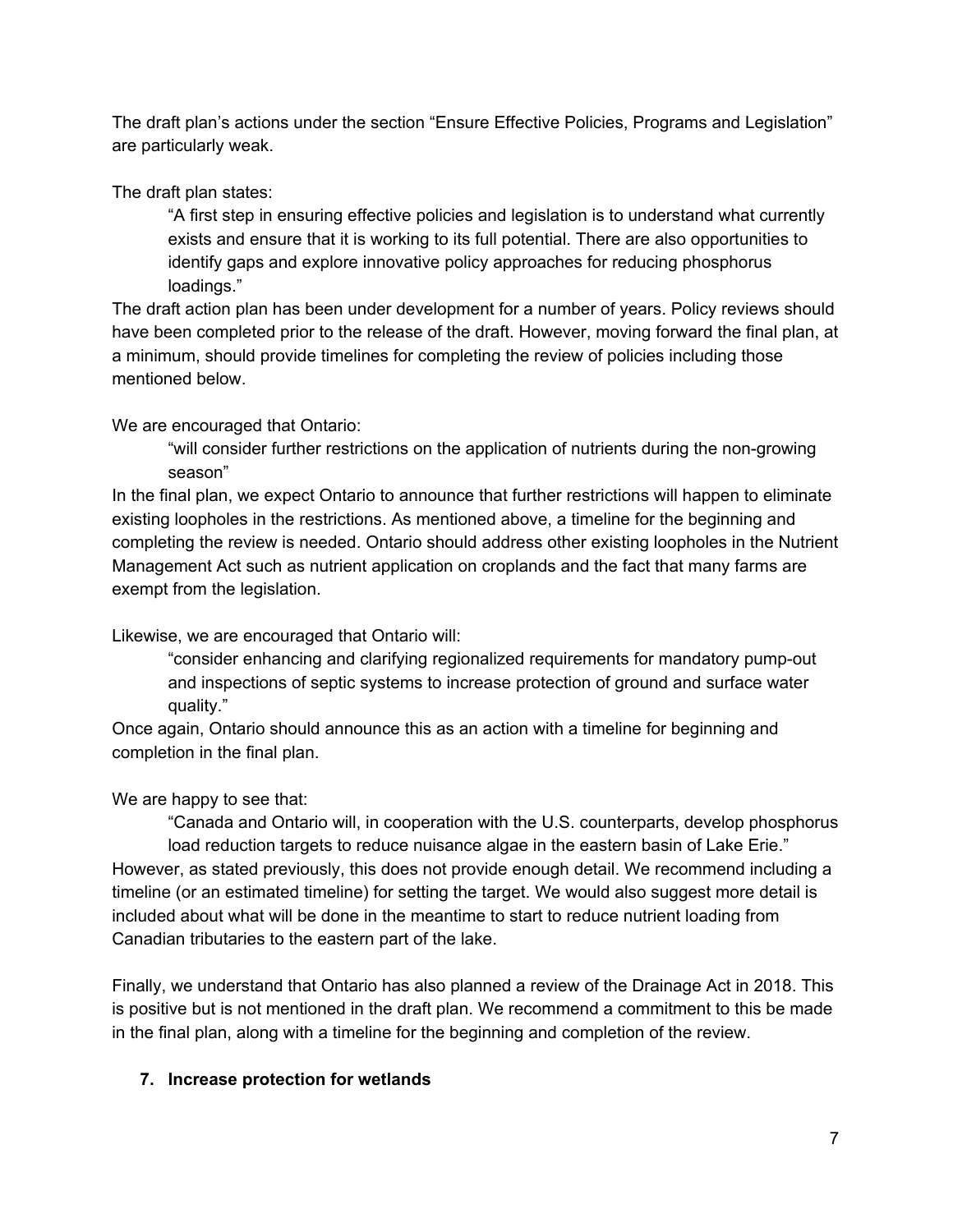The draft plan's actions under the section "Ensure Effective Policies, Programs and Legislation" are particularly weak.

The draft plan states:

"A first step in ensuring effective policies and legislation is to understand what currently exists and ensure that it is working to its full potential. There are also opportunities to identify gaps and explore innovative policy approaches for reducing phosphorus loadings."

The draft action plan has been under development for a number of years. Policy reviews should have been completed prior to the release of the draft. However, moving forward the final plan, at a minimum, should provide timelines for completing the review of policies including those mentioned below.

We are encouraged that Ontario:

"will consider further restrictions on the application of nutrients during the non-growing season"

In the final plan, we expect Ontario to announce that further restrictions will happen to eliminate existing loopholes in the restrictions. As mentioned above, a timeline for the beginning and completing the review is needed. Ontario should address other existing loopholes in the Nutrient Management Act such as nutrient application on croplands and the fact that many farms are exempt from the legislation.

Likewise, we are encouraged that Ontario will:

"consider enhancing and clarifying regionalized requirements for mandatory pump-out and inspections of septic systems to increase protection of ground and surface water quality."

Once again, Ontario should announce this as an action with a timeline for beginning and completion in the final plan.

We are happy to see that:

"Canada and Ontario will, in cooperation with the U.S. counterparts, develop phosphorus load reduction targets to reduce nuisance algae in the eastern basin of Lake Erie." However, as stated previously, this does not provide enough detail. We recommend including a timeline (or an estimated timeline) for setting the target. We would also suggest more detail is included about what will be done in the meantime to start to reduce nutrient loading from Canadian tributaries to the eastern part of the lake.

Finally, we understand that Ontario has also planned a review of the Drainage Act in 2018. This is positive but is not mentioned in the draft plan. We recommend a commitment to this be made in the final plan, along with a timeline for the beginning and completion of the review.

# **7. Increase protection for wetlands**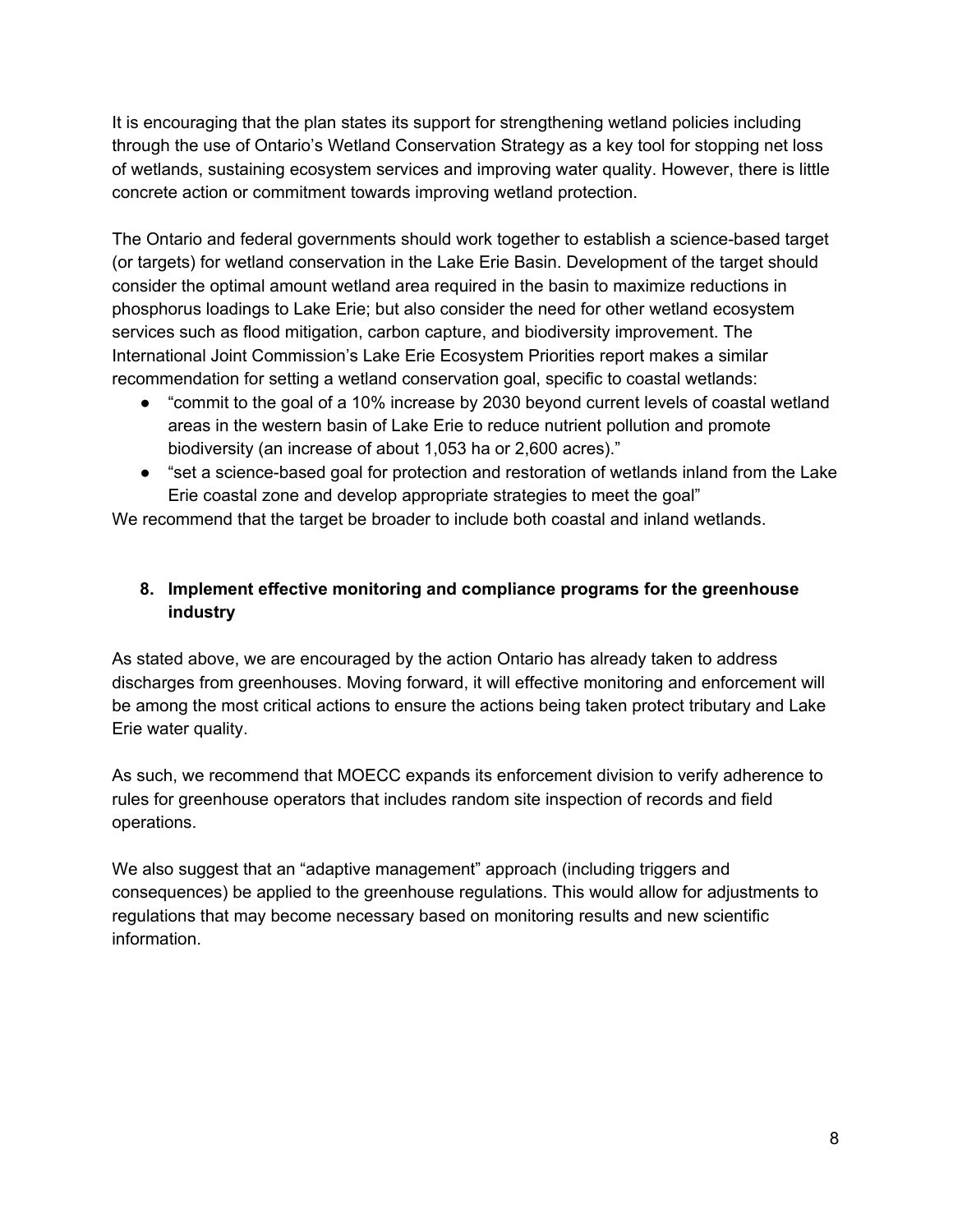It is encouraging that the plan states its support for strengthening wetland policies including through the use of Ontario's Wetland Conservation Strategy as a key tool for stopping net loss of wetlands, sustaining ecosystem services and improving water quality. However, there is little concrete action or commitment towards improving wetland protection.

The Ontario and federal governments should work together to establish a science-based target (or targets) for wetland conservation in the Lake Erie Basin. Development of the target should consider the optimal amount wetland area required in the basin to maximize reductions in phosphorus loadings to Lake Erie; but also consider the need for other wetland ecosystem services such as flood mitigation, carbon capture, and biodiversity improvement. The International Joint Commission's Lake Erie Ecosystem Priorities report makes a similar recommendation for setting a wetland conservation goal, specific to coastal wetlands:

- "commit to the goal of a 10% increase by 2030 beyond current levels of coastal wetland areas in the western basin of Lake Erie to reduce nutrient pollution and promote biodiversity (an increase of about 1,053 ha or 2,600 acres)."
- "set a science-based goal for protection and restoration of wetlands inland from the Lake Erie coastal zone and develop appropriate strategies to meet the goal"

We recommend that the target be broader to include both coastal and inland wetlands.

# **8. Implement effective monitoring and compliance programs for the greenhouse industry**

As stated above, we are encouraged by the action Ontario has already taken to address discharges from greenhouses. Moving forward, it will effective monitoring and enforcement will be among the most critical actions to ensure the actions being taken protect tributary and Lake Erie water quality.

As such, we recommend that MOECC expands its enforcement division to verify adherence to rules for greenhouse operators that includes random site inspection of records and field operations.

We also suggest that an "adaptive management" approach (including triggers and consequences) be applied to the greenhouse regulations. This would allow for adjustments to regulations that may become necessary based on monitoring results and new scientific information.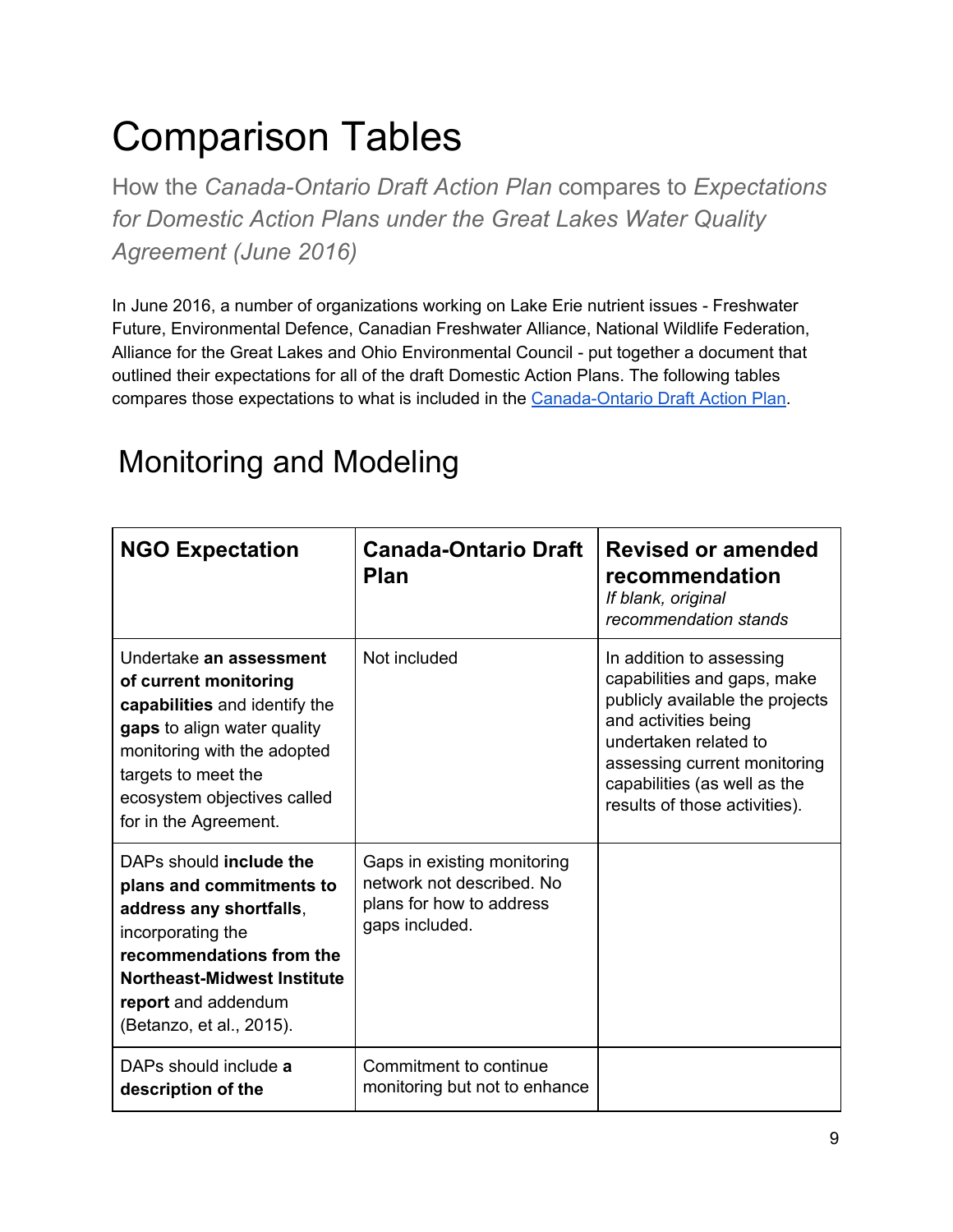# Comparison Tables

How the *Canada-Ontario Draft Action Plan* compares to *Expectations for Domestic Action Plans under the Great Lakes Water Quality Agreement (June 2016)*

In June 2016, a number of organizations working on Lake Erie nutrient issues - Freshwater Future, Environmental Defence, Canadian Freshwater Alliance, National Wildlife Federation, Alliance for the Great Lakes and Ohio Environmental Council - put together a document that outlined their expectations for all of the draft Domestic Action Plans. The following tables compares those expectations to what is included in the [Canada-Ontario](http://www.letstalklakeerie.ca/) Draft Action Plan.

# Monitoring and Modeling

| <b>NGO Expectation</b>                                                                                                                                                                                                         | <b>Canada-Ontario Draft</b><br><b>Plan</b>                                                             | <b>Revised or amended</b><br>recommendation<br>If blank, original<br>recommendation stands                                                                                                                                                   |
|--------------------------------------------------------------------------------------------------------------------------------------------------------------------------------------------------------------------------------|--------------------------------------------------------------------------------------------------------|----------------------------------------------------------------------------------------------------------------------------------------------------------------------------------------------------------------------------------------------|
| Undertake an assessment<br>of current monitoring<br>capabilities and identify the<br>gaps to align water quality<br>monitoring with the adopted<br>targets to meet the<br>ecosystem objectives called<br>for in the Agreement. | Not included                                                                                           | In addition to assessing<br>capabilities and gaps, make<br>publicly available the projects<br>and activities being<br>undertaken related to<br>assessing current monitoring<br>capabilities (as well as the<br>results of those activities). |
| DAPs should include the<br>plans and commitments to<br>address any shortfalls,<br>incorporating the<br>recommendations from the<br>Northeast-Midwest Institute<br>report and addendum<br>(Betanzo, et al., 2015).              | Gaps in existing monitoring<br>network not described. No<br>plans for how to address<br>gaps included. |                                                                                                                                                                                                                                              |
| DAPs should include a<br>description of the                                                                                                                                                                                    | Commitment to continue<br>monitoring but not to enhance                                                |                                                                                                                                                                                                                                              |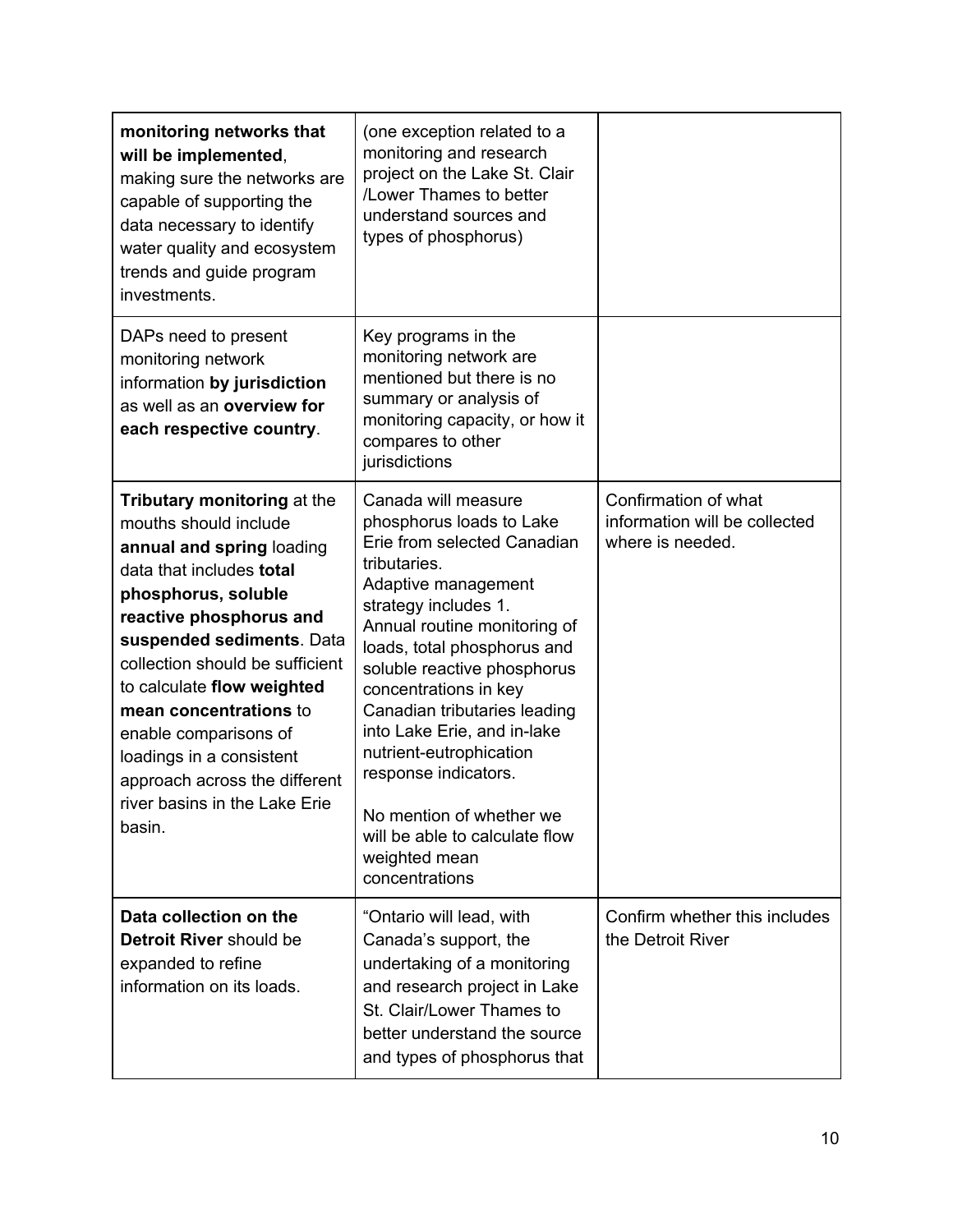| monitoring networks that<br>will be implemented,<br>making sure the networks are<br>capable of supporting the<br>data necessary to identify<br>water quality and ecosystem<br>trends and guide program<br>investments.                                                                                                                                                                                                   | (one exception related to a<br>monitoring and research<br>project on the Lake St. Clair<br>/Lower Thames to better<br>understand sources and<br>types of phosphorus)                                                                                                                                                                                                                                                                                                                    |                                                                           |
|--------------------------------------------------------------------------------------------------------------------------------------------------------------------------------------------------------------------------------------------------------------------------------------------------------------------------------------------------------------------------------------------------------------------------|-----------------------------------------------------------------------------------------------------------------------------------------------------------------------------------------------------------------------------------------------------------------------------------------------------------------------------------------------------------------------------------------------------------------------------------------------------------------------------------------|---------------------------------------------------------------------------|
| DAPs need to present<br>monitoring network<br>information by jurisdiction<br>as well as an overview for<br>each respective country.                                                                                                                                                                                                                                                                                      | Key programs in the<br>monitoring network are<br>mentioned but there is no<br>summary or analysis of<br>monitoring capacity, or how it<br>compares to other<br>jurisdictions                                                                                                                                                                                                                                                                                                            |                                                                           |
| Tributary monitoring at the<br>mouths should include<br>annual and spring loading<br>data that includes total<br>phosphorus, soluble<br>reactive phosphorus and<br>suspended sediments. Data<br>collection should be sufficient<br>to calculate flow weighted<br>mean concentrations to<br>enable comparisons of<br>loadings in a consistent<br>approach across the different<br>river basins in the Lake Erie<br>basin. | Canada will measure<br>phosphorus loads to Lake<br>Erie from selected Canadian<br>tributaries.<br>Adaptive management<br>strategy includes 1.<br>Annual routine monitoring of<br>loads, total phosphorus and<br>soluble reactive phosphorus<br>concentrations in key<br>Canadian tributaries leading<br>into Lake Erie, and in-lake<br>nutrient-eutrophication<br>response indicators.<br>No mention of whether we<br>will be able to calculate flow<br>weighted mean<br>concentrations | Confirmation of what<br>information will be collected<br>where is needed. |
| Data collection on the<br>Detroit River should be<br>expanded to refine<br>information on its loads.                                                                                                                                                                                                                                                                                                                     | "Ontario will lead, with<br>Canada's support, the<br>undertaking of a monitoring<br>and research project in Lake<br>St. Clair/Lower Thames to<br>better understand the source<br>and types of phosphorus that                                                                                                                                                                                                                                                                           | Confirm whether this includes<br>the Detroit River                        |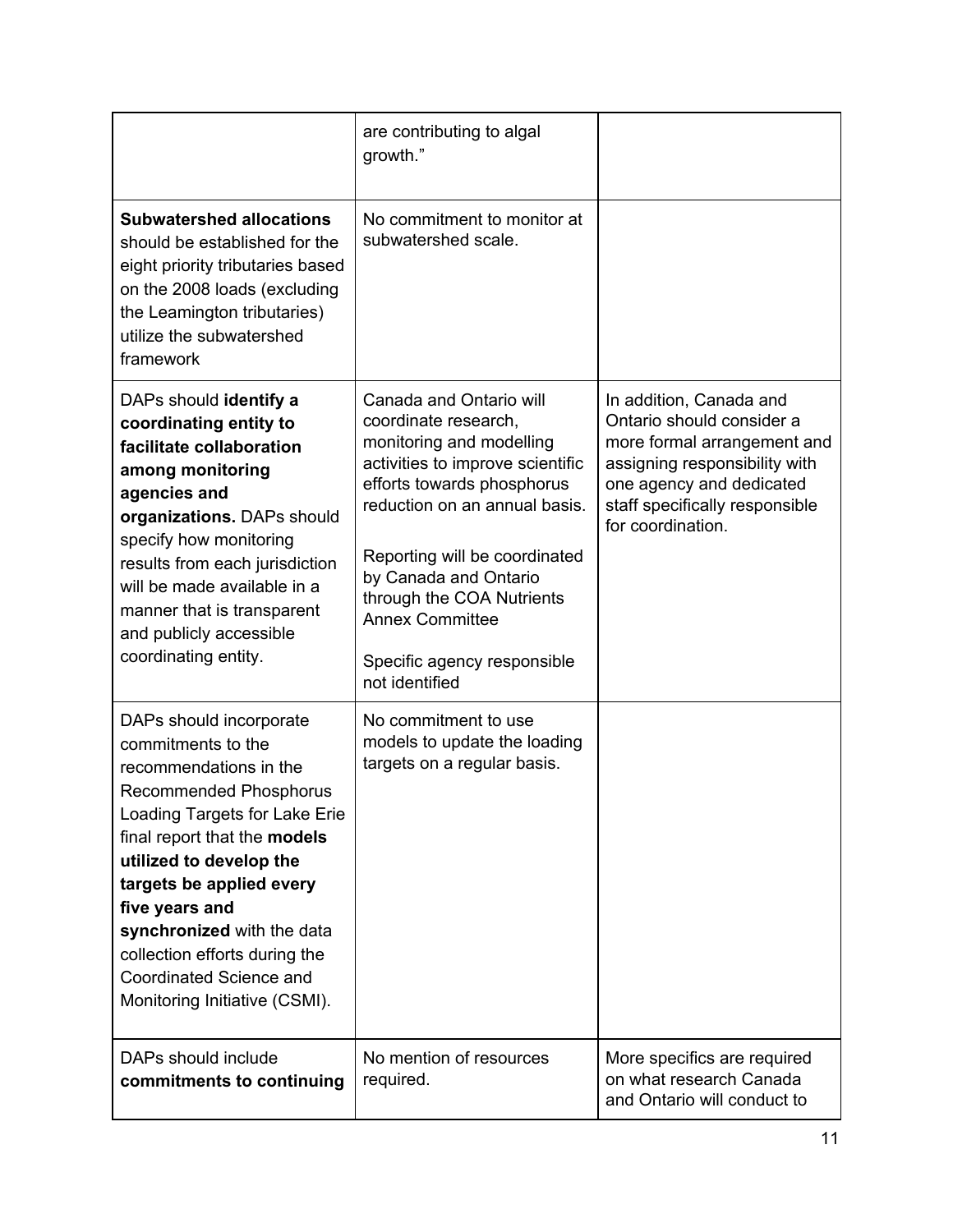|                                                                                                                                                                                                                                                                                                                                                                                      | are contributing to algal<br>growth."                                                                                                                                                                                                                                                                                                            |                                                                                                                                                                                                         |
|--------------------------------------------------------------------------------------------------------------------------------------------------------------------------------------------------------------------------------------------------------------------------------------------------------------------------------------------------------------------------------------|--------------------------------------------------------------------------------------------------------------------------------------------------------------------------------------------------------------------------------------------------------------------------------------------------------------------------------------------------|---------------------------------------------------------------------------------------------------------------------------------------------------------------------------------------------------------|
| <b>Subwatershed allocations</b><br>should be established for the<br>eight priority tributaries based<br>on the 2008 loads (excluding<br>the Leamington tributaries)<br>utilize the subwatershed<br>framework                                                                                                                                                                         | No commitment to monitor at<br>subwatershed scale.                                                                                                                                                                                                                                                                                               |                                                                                                                                                                                                         |
| DAPs should identify a<br>coordinating entity to<br>facilitate collaboration<br>among monitoring<br>agencies and<br>organizations. DAPs should<br>specify how monitoring<br>results from each jurisdiction<br>will be made available in a<br>manner that is transparent<br>and publicly accessible<br>coordinating entity.                                                           | Canada and Ontario will<br>coordinate research,<br>monitoring and modelling<br>activities to improve scientific<br>efforts towards phosphorus<br>reduction on an annual basis.<br>Reporting will be coordinated<br>by Canada and Ontario<br>through the COA Nutrients<br><b>Annex Committee</b><br>Specific agency responsible<br>not identified | In addition, Canada and<br>Ontario should consider a<br>more formal arrangement and<br>assigning responsibility with<br>one agency and dedicated<br>staff specifically responsible<br>for coordination. |
| DAPs should incorporate<br>commitments to the<br>recommendations in the<br><b>Recommended Phosphorus</b><br>Loading Targets for Lake Erie<br>final report that the models<br>utilized to develop the<br>targets be applied every<br>five years and<br>synchronized with the data<br>collection efforts during the<br><b>Coordinated Science and</b><br>Monitoring Initiative (CSMI). | No commitment to use<br>models to update the loading<br>targets on a regular basis.                                                                                                                                                                                                                                                              |                                                                                                                                                                                                         |
| DAPs should include<br>commitments to continuing                                                                                                                                                                                                                                                                                                                                     | No mention of resources<br>required.                                                                                                                                                                                                                                                                                                             | More specifics are required<br>on what research Canada<br>and Ontario will conduct to                                                                                                                   |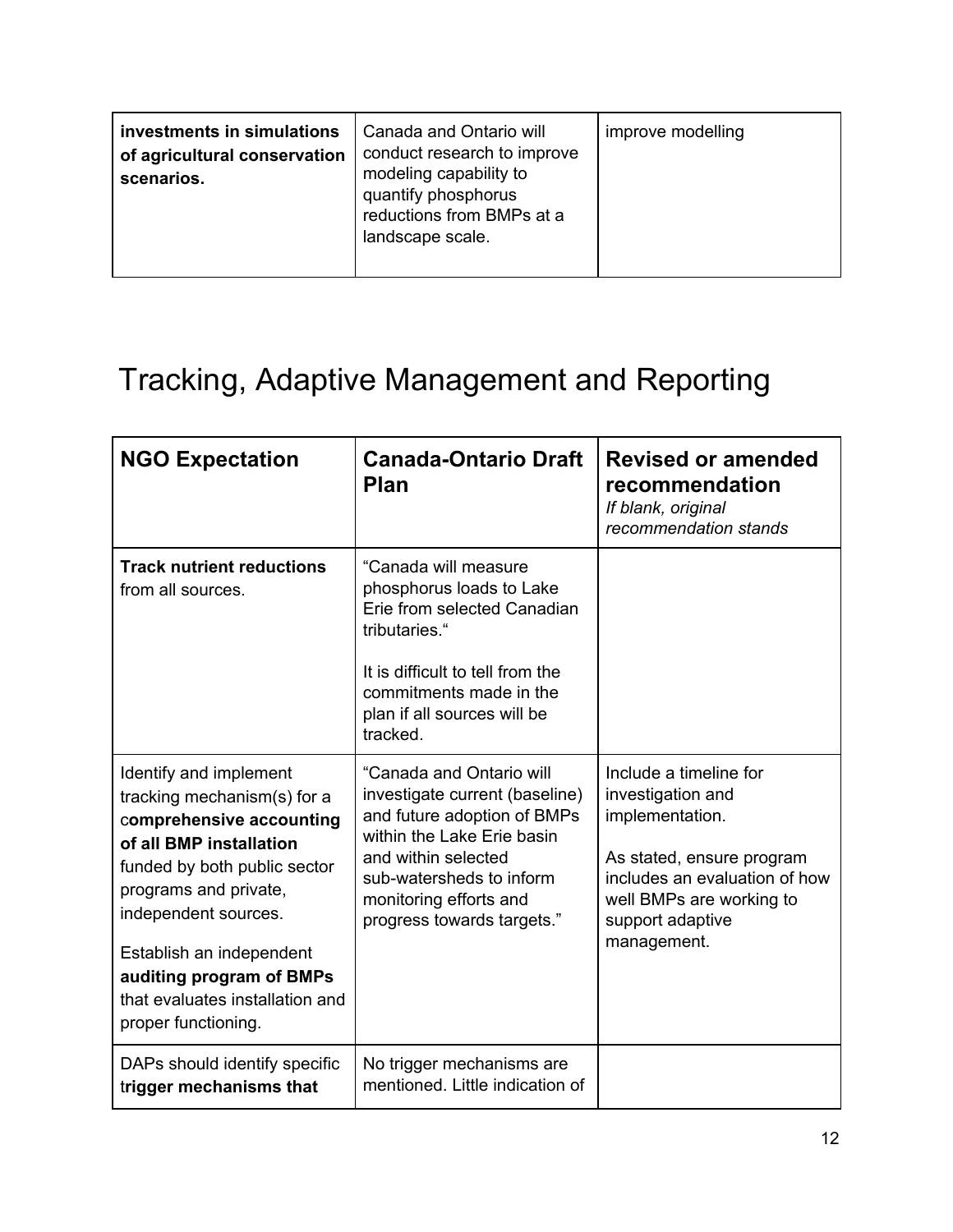| investments in simulations<br>of agricultural conservation<br>scenarios. | Canada and Ontario will<br>conduct research to improve<br>modeling capability to<br>quantify phosphorus<br>reductions from BMPs at a<br>landscape scale. | improve modelling |
|--------------------------------------------------------------------------|----------------------------------------------------------------------------------------------------------------------------------------------------------|-------------------|
|--------------------------------------------------------------------------|----------------------------------------------------------------------------------------------------------------------------------------------------------|-------------------|

# Tracking, Adaptive Management and Reporting

| <b>NGO Expectation</b>                                                                                                                                                                                                                                                                                          | <b>Canada-Ontario Draft</b><br><b>Plan</b>                                                                                                                                                                                         | <b>Revised or amended</b><br>recommendation<br>If blank, original<br>recommendation stands                                                                                                  |
|-----------------------------------------------------------------------------------------------------------------------------------------------------------------------------------------------------------------------------------------------------------------------------------------------------------------|------------------------------------------------------------------------------------------------------------------------------------------------------------------------------------------------------------------------------------|---------------------------------------------------------------------------------------------------------------------------------------------------------------------------------------------|
| <b>Track nutrient reductions</b><br>from all sources.                                                                                                                                                                                                                                                           | "Canada will measure<br>phosphorus loads to Lake<br>Erie from selected Canadian<br>tributaries."<br>It is difficult to tell from the<br>commitments made in the<br>plan if all sources will be<br>tracked.                         |                                                                                                                                                                                             |
| Identify and implement<br>tracking mechanism(s) for a<br>comprehensive accounting<br>of all BMP installation<br>funded by both public sector<br>programs and private,<br>independent sources.<br>Establish an independent<br>auditing program of BMPs<br>that evaluates installation and<br>proper functioning. | "Canada and Ontario will<br>investigate current (baseline)<br>and future adoption of BMPs<br>within the Lake Erie basin<br>and within selected<br>sub-watersheds to inform<br>monitoring efforts and<br>progress towards targets." | Include a timeline for<br>investigation and<br>implementation.<br>As stated, ensure program<br>includes an evaluation of how<br>well BMPs are working to<br>support adaptive<br>management. |
| DAPs should identify specific<br>trigger mechanisms that                                                                                                                                                                                                                                                        | No trigger mechanisms are<br>mentioned. Little indication of                                                                                                                                                                       |                                                                                                                                                                                             |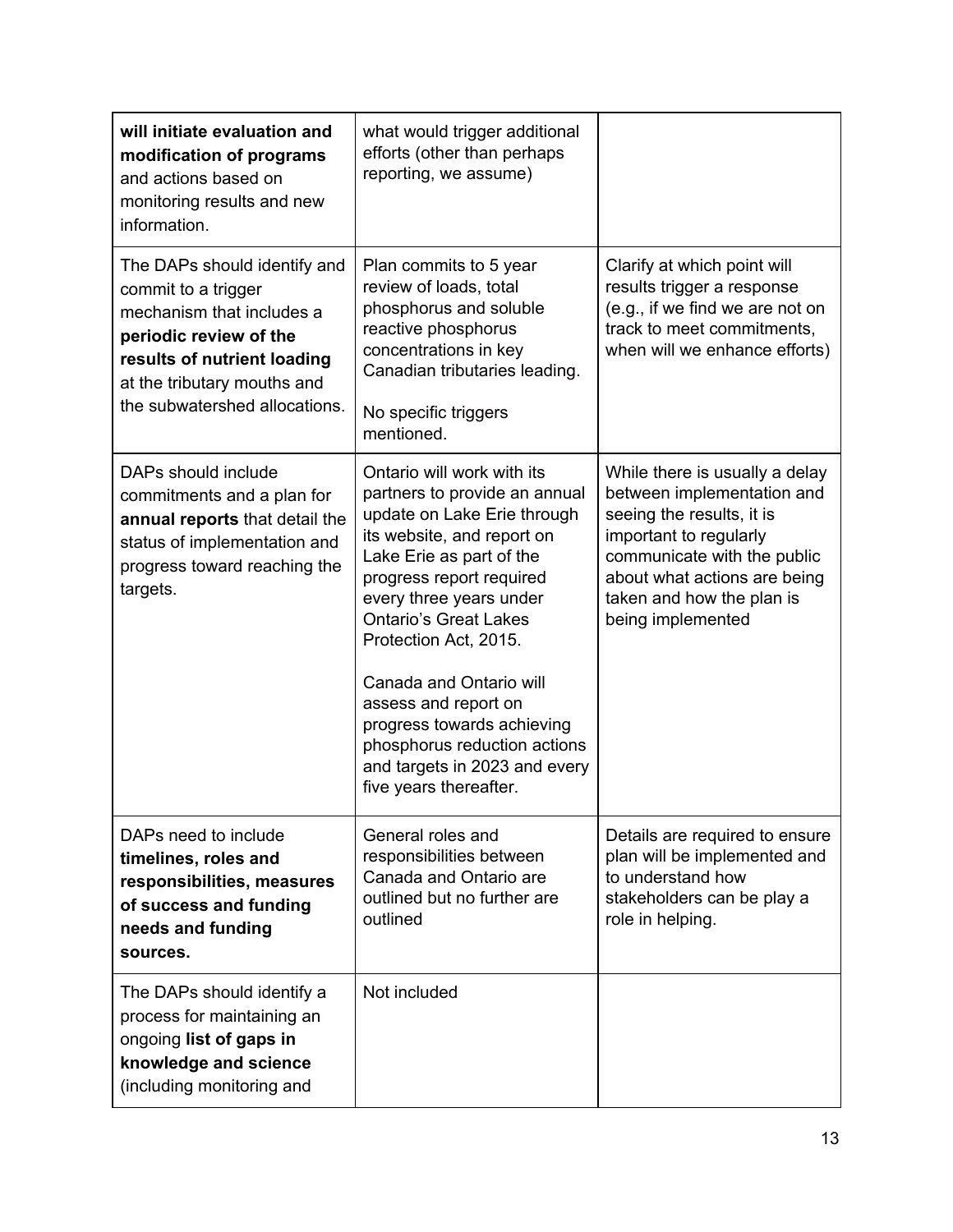| will initiate evaluation and<br>modification of programs<br>and actions based on<br>monitoring results and new<br>information.                                                                            | what would trigger additional<br>efforts (other than perhaps<br>reporting, we assume)                                                                                                                                                                                                                                                                                                                                                            |                                                                                                                                                                                                                                      |
|-----------------------------------------------------------------------------------------------------------------------------------------------------------------------------------------------------------|--------------------------------------------------------------------------------------------------------------------------------------------------------------------------------------------------------------------------------------------------------------------------------------------------------------------------------------------------------------------------------------------------------------------------------------------------|--------------------------------------------------------------------------------------------------------------------------------------------------------------------------------------------------------------------------------------|
| The DAPs should identify and<br>commit to a trigger<br>mechanism that includes a<br>periodic review of the<br>results of nutrient loading<br>at the tributary mouths and<br>the subwatershed allocations. | Plan commits to 5 year<br>review of loads, total<br>phosphorus and soluble<br>reactive phosphorus<br>concentrations in key<br>Canadian tributaries leading.<br>No specific triggers<br>mentioned.                                                                                                                                                                                                                                                | Clarify at which point will<br>results trigger a response<br>(e.g., if we find we are not on<br>track to meet commitments,<br>when will we enhance efforts)                                                                          |
| DAPs should include<br>commitments and a plan for<br>annual reports that detail the<br>status of implementation and<br>progress toward reaching the<br>targets.                                           | Ontario will work with its<br>partners to provide an annual<br>update on Lake Erie through<br>its website, and report on<br>Lake Erie as part of the<br>progress report required<br>every three years under<br><b>Ontario's Great Lakes</b><br>Protection Act, 2015.<br>Canada and Ontario will<br>assess and report on<br>progress towards achieving<br>phosphorus reduction actions<br>and targets in 2023 and every<br>five years thereafter. | While there is usually a delay<br>between implementation and<br>seeing the results, it is<br>important to regularly<br>communicate with the public<br>about what actions are being<br>taken and how the plan is<br>being implemented |
| DAPs need to include<br>timelines, roles and<br>responsibilities, measures<br>of success and funding<br>needs and funding<br>sources.                                                                     | General roles and<br>responsibilities between<br>Canada and Ontario are<br>outlined but no further are<br>outlined                                                                                                                                                                                                                                                                                                                               | Details are required to ensure<br>plan will be implemented and<br>to understand how<br>stakeholders can be play a<br>role in helping.                                                                                                |
| The DAPs should identify a<br>process for maintaining an<br>ongoing list of gaps in<br>knowledge and science<br>(including monitoring and                                                                 | Not included                                                                                                                                                                                                                                                                                                                                                                                                                                     |                                                                                                                                                                                                                                      |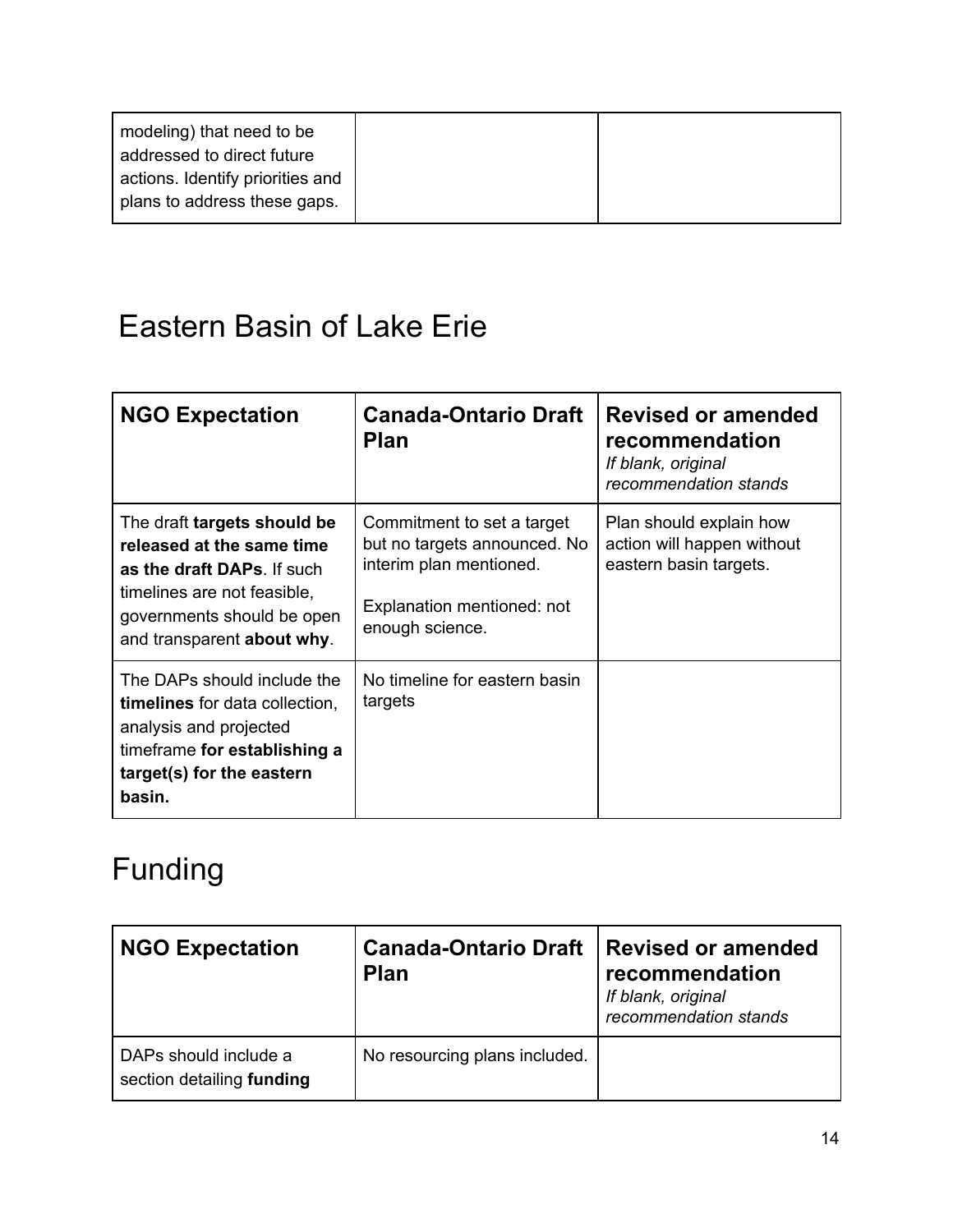| modeling) that need to be<br>addressed to direct future          |  |
|------------------------------------------------------------------|--|
| actions. Identify priorities and<br>plans to address these gaps. |  |

# Eastern Basin of Lake Erie

| <b>NGO Expectation</b>                                                                                                                                                            | <b>Canada-Ontario Draft</b><br><b>Plan</b>                                                                                             | <b>Revised or amended</b><br>recommendation<br>If blank, original<br>recommendation stands |
|-----------------------------------------------------------------------------------------------------------------------------------------------------------------------------------|----------------------------------------------------------------------------------------------------------------------------------------|--------------------------------------------------------------------------------------------|
| The draft targets should be<br>released at the same time<br>as the draft DAPs. If such<br>timelines are not feasible,<br>governments should be open<br>and transparent about why. | Commitment to set a target<br>but no targets announced. No<br>interim plan mentioned.<br>Explanation mentioned: not<br>enough science. | Plan should explain how<br>action will happen without<br>eastern basin targets.            |
| The DAPs should include the<br><b>timelines</b> for data collection,<br>analysis and projected<br>timeframe for establishing a<br>target(s) for the eastern<br>basin.             | No timeline for eastern basin<br>targets                                                                                               |                                                                                            |

# Funding

| <b>NGO Expectation</b>                             | <b>Canada-Ontario Draft</b><br><b>Plan</b> | <b>Revised or amended</b><br>recommendation<br>If blank, original<br>recommendation stands |
|----------------------------------------------------|--------------------------------------------|--------------------------------------------------------------------------------------------|
| DAPs should include a<br>section detailing funding | No resourcing plans included.              |                                                                                            |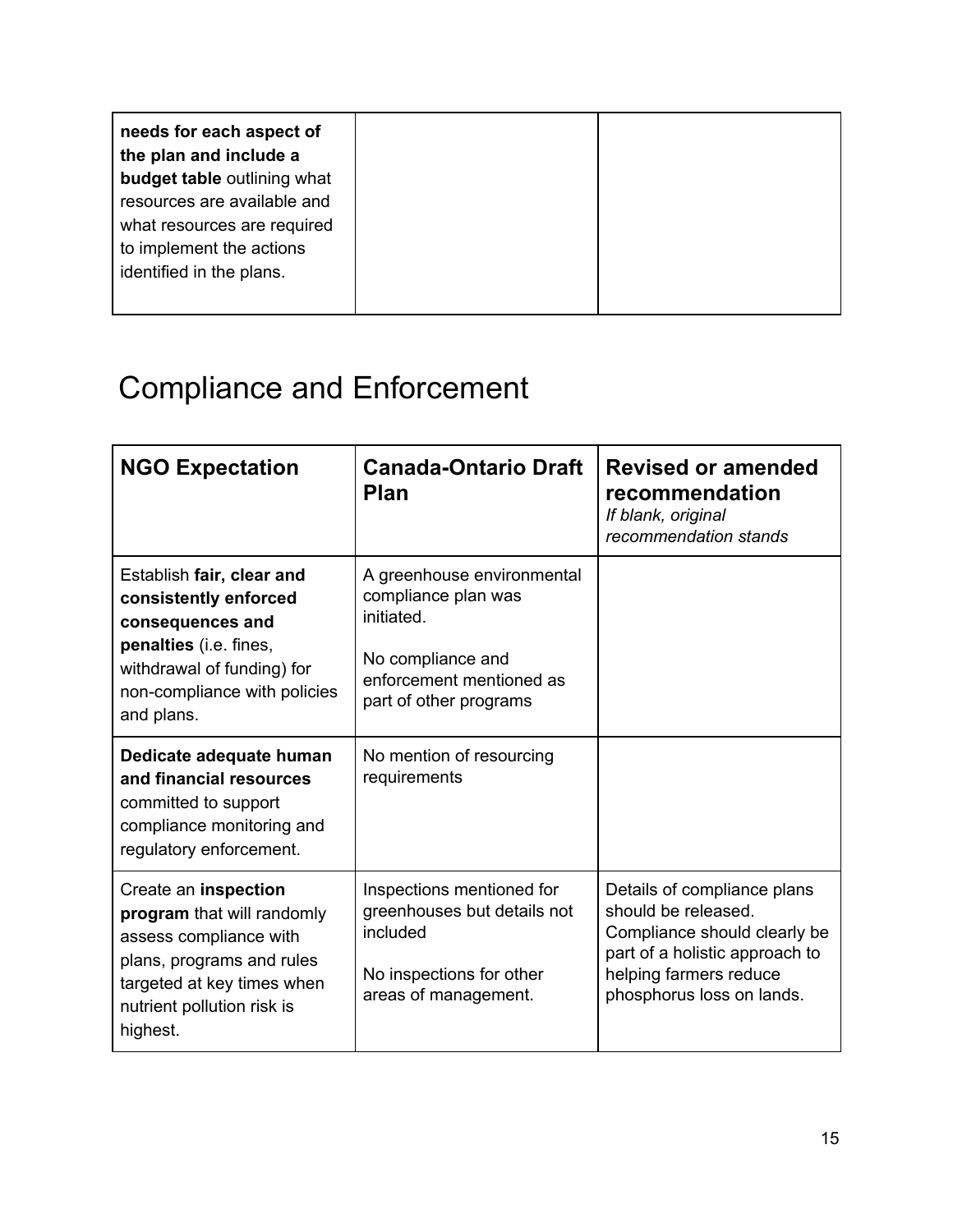| needs for each aspect of    |
|-----------------------------|
| the plan and include a      |
| budget table outlining what |
| resources are available and |
| what resources are required |
| to implement the actions    |
| identified in the plans.    |
|                             |

# Compliance and Enforcement

| <b>NGO Expectation</b>                                                                                                                                                            | <b>Canada-Ontario Draft</b><br><b>Plan</b>                                                                                                 | <b>Revised or amended</b><br>recommendation<br>If blank, original<br>recommendation stands                                                                                  |
|-----------------------------------------------------------------------------------------------------------------------------------------------------------------------------------|--------------------------------------------------------------------------------------------------------------------------------------------|-----------------------------------------------------------------------------------------------------------------------------------------------------------------------------|
| Establish fair, clear and<br>consistently enforced<br>consequences and<br>penalties (i.e. fines,<br>withdrawal of funding) for<br>non-compliance with policies<br>and plans.      | A greenhouse environmental<br>compliance plan was<br>initiated.<br>No compliance and<br>enforcement mentioned as<br>part of other programs |                                                                                                                                                                             |
| Dedicate adequate human<br>and financial resources<br>committed to support<br>compliance monitoring and<br>regulatory enforcement.                                                | No mention of resourcing<br>requirements                                                                                                   |                                                                                                                                                                             |
| Create an inspection<br>program that will randomly<br>assess compliance with<br>plans, programs and rules<br>targeted at key times when<br>nutrient pollution risk is<br>highest. | Inspections mentioned for<br>greenhouses but details not<br>included<br>No inspections for other<br>areas of management.                   | Details of compliance plans<br>should be released.<br>Compliance should clearly be<br>part of a holistic approach to<br>helping farmers reduce<br>phosphorus loss on lands. |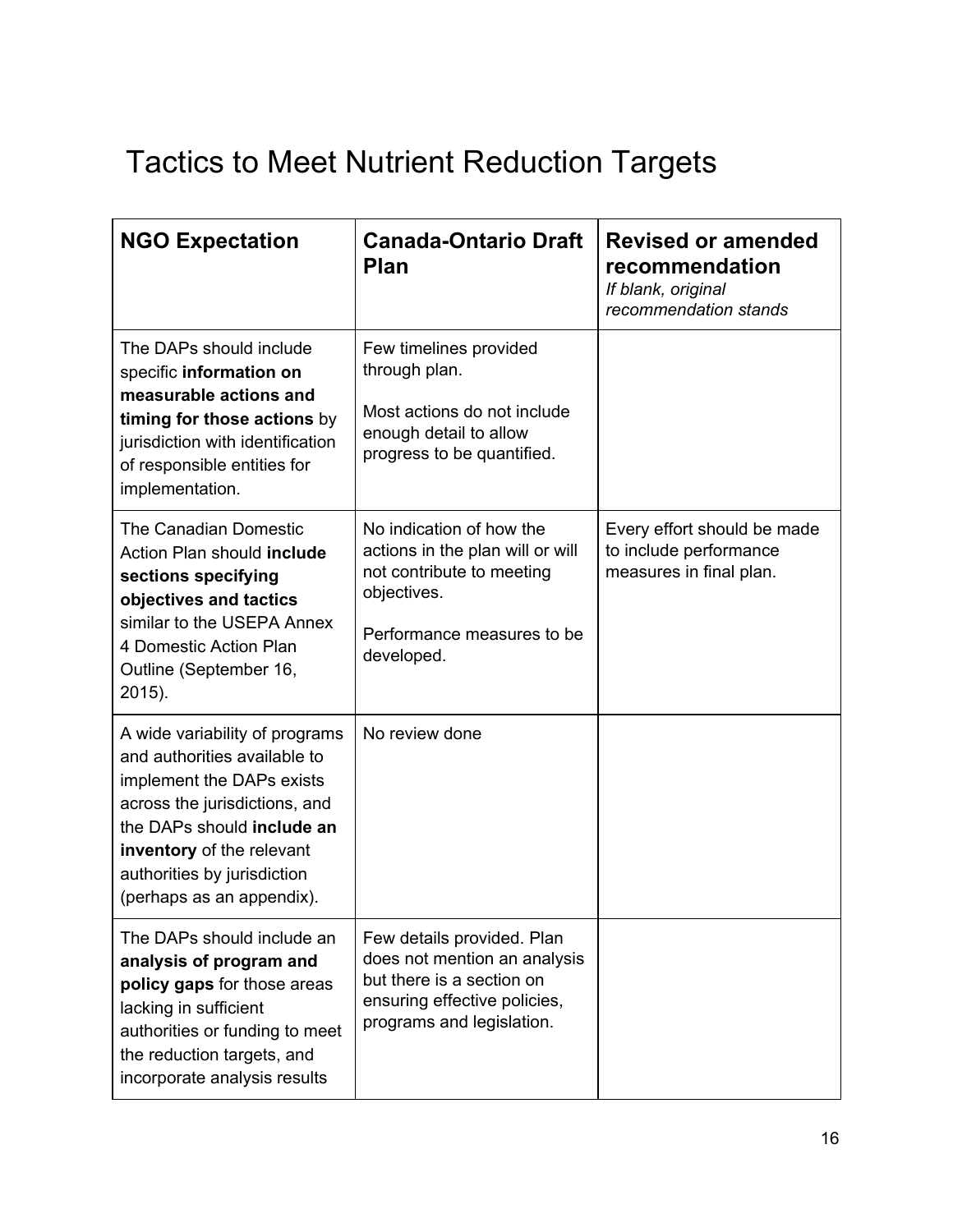# Tactics to Meet Nutrient Reduction Targets

| <b>NGO Expectation</b>                                                                                                                                                                                                                              | <b>Canada-Ontario Draft</b><br>Plan                                                                                                                  | <b>Revised or amended</b><br>recommendation<br>If blank, original<br>recommendation stands |
|-----------------------------------------------------------------------------------------------------------------------------------------------------------------------------------------------------------------------------------------------------|------------------------------------------------------------------------------------------------------------------------------------------------------|--------------------------------------------------------------------------------------------|
| The DAPs should include<br>specific information on<br>measurable actions and<br>timing for those actions by<br>jurisdiction with identification<br>of responsible entities for<br>implementation.                                                   | Few timelines provided<br>through plan.<br>Most actions do not include<br>enough detail to allow<br>progress to be quantified.                       |                                                                                            |
| The Canadian Domestic<br>Action Plan should include<br>sections specifying<br>objectives and tactics<br>similar to the USEPA Annex<br>4 Domestic Action Plan<br>Outline (September 16,<br>2015).                                                    | No indication of how the<br>actions in the plan will or will<br>not contribute to meeting<br>objectives.<br>Performance measures to be<br>developed. | Every effort should be made<br>to include performance<br>measures in final plan.           |
| A wide variability of programs<br>and authorities available to<br>implement the DAPs exists<br>across the jurisdictions, and<br>the DAPs should include an<br>inventory of the relevant<br>authorities by jurisdiction<br>(perhaps as an appendix). | No review done                                                                                                                                       |                                                                                            |
| The DAPs should include an<br>analysis of program and<br>policy gaps for those areas<br>lacking in sufficient<br>authorities or funding to meet<br>the reduction targets, and<br>incorporate analysis results                                       | Few details provided. Plan<br>does not mention an analysis<br>but there is a section on<br>ensuring effective policies,<br>programs and legislation. |                                                                                            |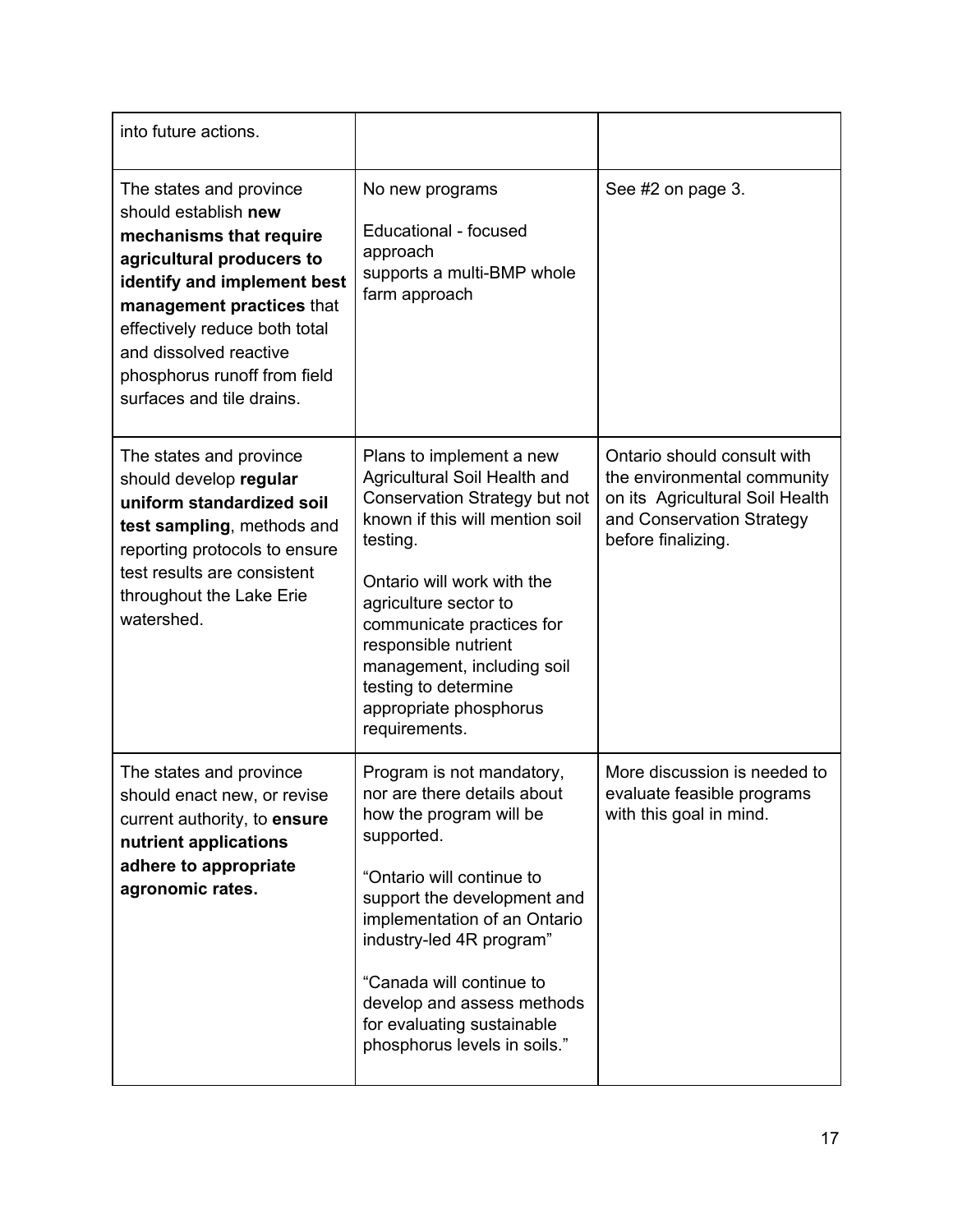| into future actions.                                                                                                                                                                                                                                                                        |                                                                                                                                                                                                                                                                                                                                                       |                                                                                                                                                  |
|---------------------------------------------------------------------------------------------------------------------------------------------------------------------------------------------------------------------------------------------------------------------------------------------|-------------------------------------------------------------------------------------------------------------------------------------------------------------------------------------------------------------------------------------------------------------------------------------------------------------------------------------------------------|--------------------------------------------------------------------------------------------------------------------------------------------------|
| The states and province<br>should establish new<br>mechanisms that require<br>agricultural producers to<br>identify and implement best<br>management practices that<br>effectively reduce both total<br>and dissolved reactive<br>phosphorus runoff from field<br>surfaces and tile drains. | No new programs<br>Educational - focused<br>approach<br>supports a multi-BMP whole<br>farm approach                                                                                                                                                                                                                                                   | See #2 on page 3.                                                                                                                                |
| The states and province<br>should develop regular<br>uniform standardized soil<br>test sampling, methods and<br>reporting protocols to ensure<br>test results are consistent<br>throughout the Lake Erie<br>watershed.                                                                      | Plans to implement a new<br>Agricultural Soil Health and<br>Conservation Strategy but not<br>known if this will mention soil<br>testing.<br>Ontario will work with the<br>agriculture sector to<br>communicate practices for<br>responsible nutrient<br>management, including soil<br>testing to determine<br>appropriate phosphorus<br>requirements. | Ontario should consult with<br>the environmental community<br>on its Agricultural Soil Health<br>and Conservation Strategy<br>before finalizing. |
| The states and province<br>should enact new, or revise<br>current authority, to ensure<br>nutrient applications<br>adhere to appropriate<br>agronomic rates.                                                                                                                                | Program is not mandatory,<br>nor are there details about<br>how the program will be<br>supported.<br>"Ontario will continue to<br>support the development and<br>implementation of an Ontario<br>industry-led 4R program"<br>"Canada will continue to<br>develop and assess methods<br>for evaluating sustainable<br>phosphorus levels in soils."     | More discussion is needed to<br>evaluate feasible programs<br>with this goal in mind.                                                            |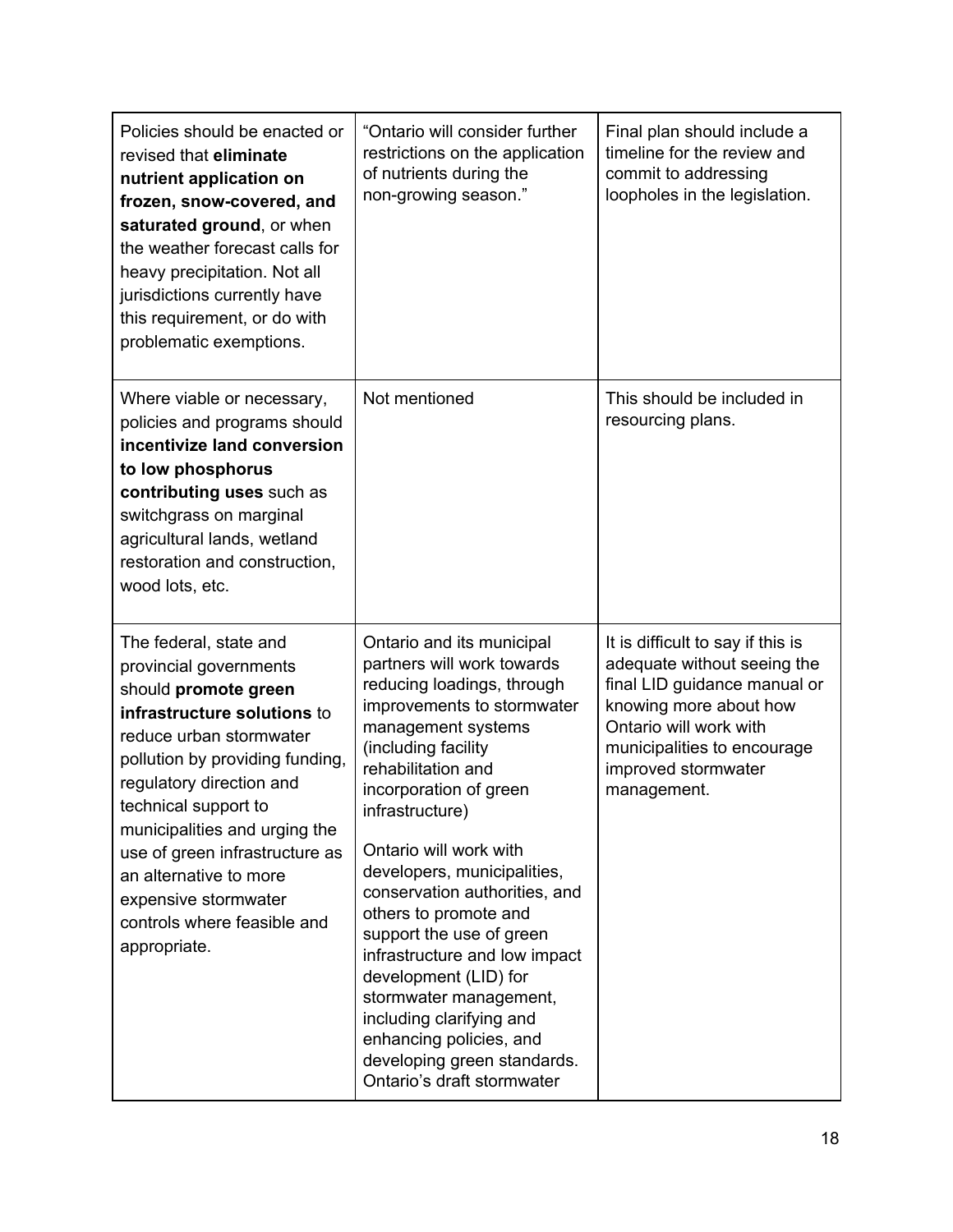| Policies should be enacted or<br>revised that eliminate<br>nutrient application on<br>frozen, snow-covered, and<br>saturated ground, or when<br>the weather forecast calls for<br>heavy precipitation. Not all<br>jurisdictions currently have<br>this requirement, or do with<br>problematic exemptions.                                                                                     | "Ontario will consider further<br>restrictions on the application<br>of nutrients during the<br>non-growing season."                                                                                                                                                                                                                                                                                                                                                                                                                                                                       | Final plan should include a<br>timeline for the review and<br>commit to addressing<br>loopholes in the legislation.                                                                                                       |
|-----------------------------------------------------------------------------------------------------------------------------------------------------------------------------------------------------------------------------------------------------------------------------------------------------------------------------------------------------------------------------------------------|--------------------------------------------------------------------------------------------------------------------------------------------------------------------------------------------------------------------------------------------------------------------------------------------------------------------------------------------------------------------------------------------------------------------------------------------------------------------------------------------------------------------------------------------------------------------------------------------|---------------------------------------------------------------------------------------------------------------------------------------------------------------------------------------------------------------------------|
| Where viable or necessary,<br>policies and programs should<br>incentivize land conversion<br>to low phosphorus<br>contributing uses such as<br>switchgrass on marginal<br>agricultural lands, wetland<br>restoration and construction,<br>wood lots, etc.                                                                                                                                     | Not mentioned                                                                                                                                                                                                                                                                                                                                                                                                                                                                                                                                                                              | This should be included in<br>resourcing plans.                                                                                                                                                                           |
| The federal, state and<br>provincial governments<br>should promote green<br>infrastructure solutions to<br>reduce urban stormwater<br>pollution by providing funding,<br>regulatory direction and<br>technical support to<br>municipalities and urging the<br>use of green infrastructure as<br>an alternative to more<br>expensive stormwater<br>controls where feasible and<br>appropriate. | Ontario and its municipal<br>partners will work towards<br>reducing loadings, through<br>improvements to stormwater<br>management systems<br>(including facility<br>rehabilitation and<br>incorporation of green<br>infrastructure)<br>Ontario will work with<br>developers, municipalities,<br>conservation authorities, and<br>others to promote and<br>support the use of green<br>infrastructure and low impact<br>development (LID) for<br>stormwater management,<br>including clarifying and<br>enhancing policies, and<br>developing green standards.<br>Ontario's draft stormwater | It is difficult to say if this is<br>adequate without seeing the<br>final LID guidance manual or<br>knowing more about how<br>Ontario will work with<br>municipalities to encourage<br>improved stormwater<br>management. |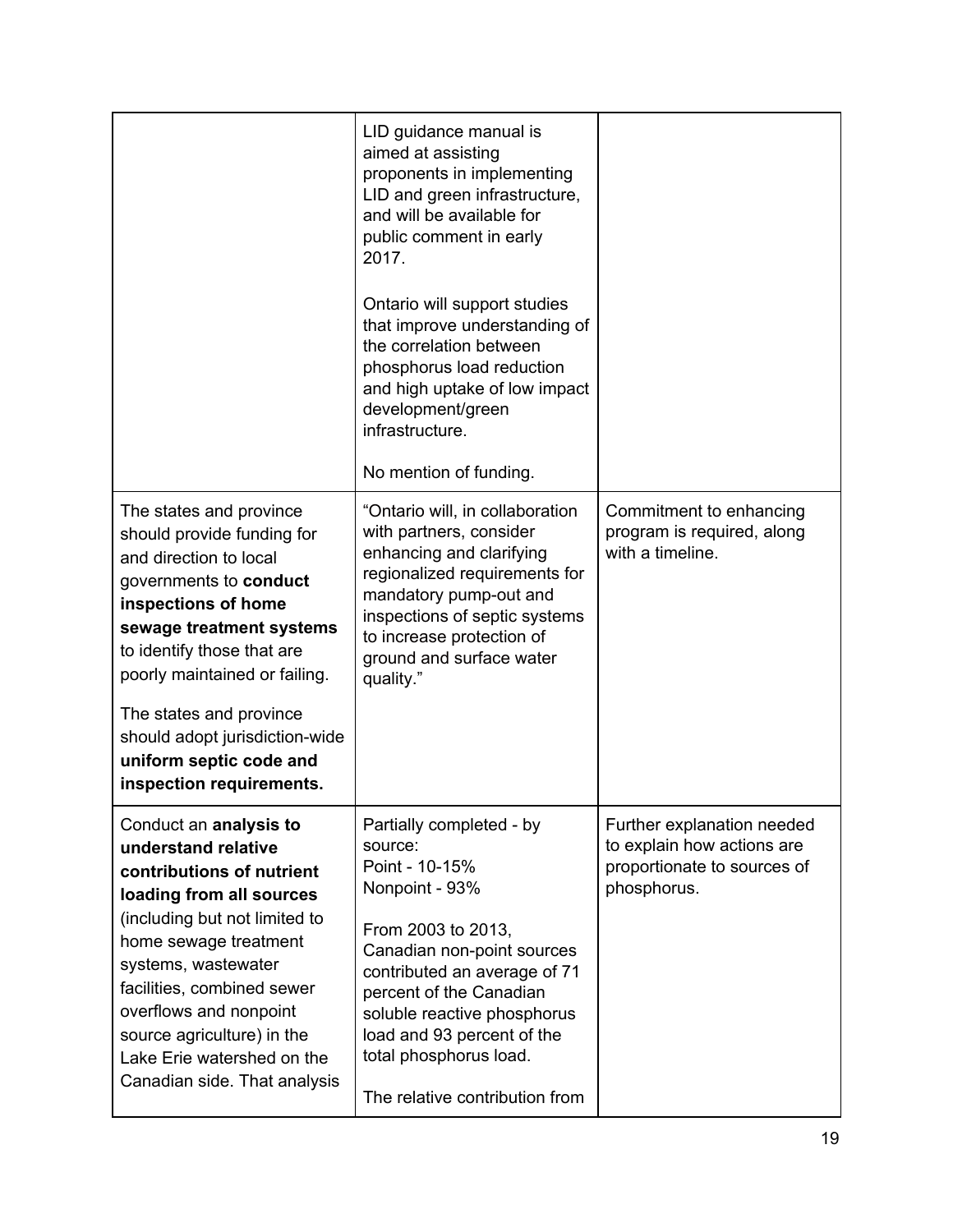|                                                                                                                                                                                                                                                                                                                                                 | LID guidance manual is<br>aimed at assisting<br>proponents in implementing<br>LID and green infrastructure,<br>and will be available for<br>public comment in early<br>2017.<br>Ontario will support studies<br>that improve understanding of<br>the correlation between<br>phosphorus load reduction<br>and high uptake of low impact<br>development/green<br>infrastructure.<br>No mention of funding. |                                                                                                        |
|-------------------------------------------------------------------------------------------------------------------------------------------------------------------------------------------------------------------------------------------------------------------------------------------------------------------------------------------------|----------------------------------------------------------------------------------------------------------------------------------------------------------------------------------------------------------------------------------------------------------------------------------------------------------------------------------------------------------------------------------------------------------|--------------------------------------------------------------------------------------------------------|
| The states and province<br>should provide funding for<br>and direction to local<br>governments to conduct<br>inspections of home<br>sewage treatment systems<br>to identify those that are<br>poorly maintained or failing.<br>The states and province<br>should adopt jurisdiction-wide<br>uniform septic code and<br>inspection requirements. | "Ontario will, in collaboration<br>with partners, consider<br>enhancing and clarifying<br>regionalized requirements for<br>mandatory pump-out and<br>inspections of septic systems<br>to increase protection of<br>ground and surface water<br>quality."                                                                                                                                                 | Commitment to enhancing<br>program is required, along<br>with a timeline.                              |
| Conduct an analysis to<br>understand relative<br>contributions of nutrient<br>loading from all sources<br>(including but not limited to<br>home sewage treatment<br>systems, wastewater<br>facilities, combined sewer<br>overflows and nonpoint<br>source agriculture) in the<br>Lake Erie watershed on the<br>Canadian side. That analysis     | Partially completed - by<br>source:<br>Point - 10-15%<br>Nonpoint - 93%<br>From 2003 to 2013,<br>Canadian non-point sources<br>contributed an average of 71<br>percent of the Canadian<br>soluble reactive phosphorus<br>load and 93 percent of the<br>total phosphorus load.<br>The relative contribution from                                                                                          | Further explanation needed<br>to explain how actions are<br>proportionate to sources of<br>phosphorus. |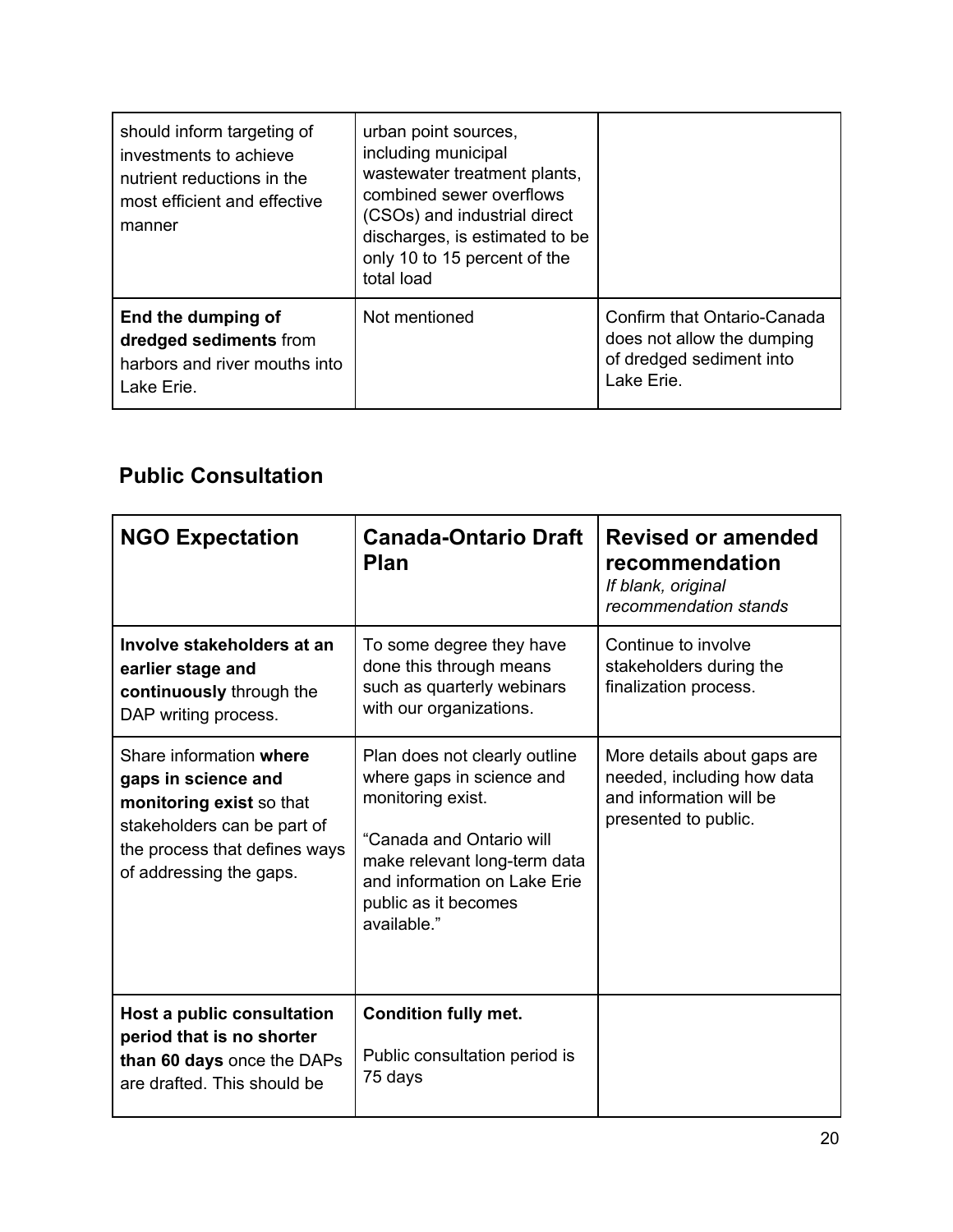| should inform targeting of<br>investments to achieve<br>nutrient reductions in the<br>most efficient and effective<br>manner | urban point sources,<br>including municipal<br>wastewater treatment plants,<br>combined sewer overflows<br>(CSOs) and industrial direct<br>discharges, is estimated to be<br>only 10 to 15 percent of the<br>total load |                                                                                                     |
|------------------------------------------------------------------------------------------------------------------------------|-------------------------------------------------------------------------------------------------------------------------------------------------------------------------------------------------------------------------|-----------------------------------------------------------------------------------------------------|
| End the dumping of<br>dredged sediments from<br>harbors and river mouths into<br>Lake Erie.                                  | Not mentioned                                                                                                                                                                                                           | Confirm that Ontario-Canada<br>does not allow the dumping<br>of dredged sediment into<br>Lake Erie. |

# **Public Consultation**

| <b>NGO Expectation</b>                                                                                                                                                | <b>Canada-Ontario Draft</b><br><b>Plan</b>                                                                                                                                                                         | <b>Revised or amended</b><br>recommendation<br>If blank, original<br>recommendation stands                   |
|-----------------------------------------------------------------------------------------------------------------------------------------------------------------------|--------------------------------------------------------------------------------------------------------------------------------------------------------------------------------------------------------------------|--------------------------------------------------------------------------------------------------------------|
| Involve stakeholders at an<br>earlier stage and<br>continuously through the<br>DAP writing process.                                                                   | To some degree they have<br>done this through means<br>such as quarterly webinars<br>with our organizations.                                                                                                       | Continue to involve<br>stakeholders during the<br>finalization process.                                      |
| Share information where<br>gaps in science and<br>monitoring exist so that<br>stakeholders can be part of<br>the process that defines ways<br>of addressing the gaps. | Plan does not clearly outline<br>where gaps in science and<br>monitoring exist.<br>"Canada and Ontario will<br>make relevant long-term data<br>and information on Lake Erie<br>public as it becomes<br>available." | More details about gaps are<br>needed, including how data<br>and information will be<br>presented to public. |
| Host a public consultation<br>period that is no shorter<br>than 60 days once the DAPs<br>are drafted. This should be                                                  | <b>Condition fully met.</b><br>Public consultation period is<br>75 days                                                                                                                                            |                                                                                                              |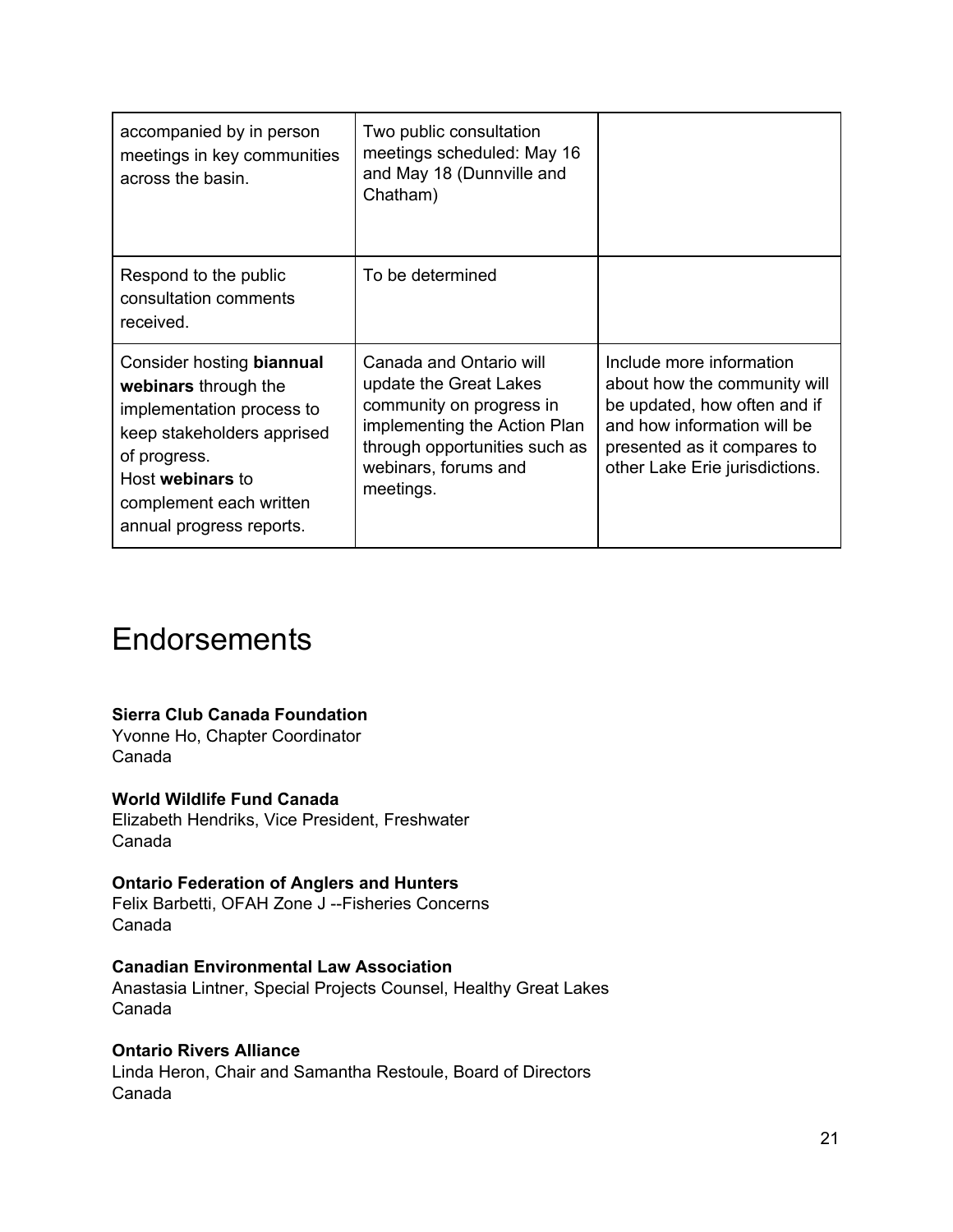| accompanied by in person<br>meetings in key communities<br>across the basin.                                                                                                                            | Two public consultation<br>meetings scheduled: May 16<br>and May 18 (Dunnville and<br>Chatham)                                                                                      |                                                                                                                                                                                          |
|---------------------------------------------------------------------------------------------------------------------------------------------------------------------------------------------------------|-------------------------------------------------------------------------------------------------------------------------------------------------------------------------------------|------------------------------------------------------------------------------------------------------------------------------------------------------------------------------------------|
| Respond to the public<br>consultation comments<br>received.                                                                                                                                             | To be determined                                                                                                                                                                    |                                                                                                                                                                                          |
| Consider hosting biannual<br>webinars through the<br>implementation process to<br>keep stakeholders apprised<br>of progress.<br>Host webinars to<br>complement each written<br>annual progress reports. | Canada and Ontario will<br>update the Great Lakes<br>community on progress in<br>implementing the Action Plan<br>through opportunities such as<br>webinars, forums and<br>meetings. | Include more information<br>about how the community will<br>be updated, how often and if<br>and how information will be<br>presented as it compares to<br>other Lake Erie jurisdictions. |

# **Endorsements**

### **Sierra Club Canada Foundation**

Yvonne Ho, Chapter Coordinator Canada

### **World Wildlife Fund Canada**

Elizabeth Hendriks, Vice President, Freshwater Canada

### **Ontario Federation of Anglers and Hunters**

Felix Barbetti, OFAH Zone J --Fisheries Concerns Canada

#### **Canadian Environmental Law Association**

Anastasia Lintner, Special Projects Counsel, Healthy Great Lakes Canada

### **Ontario Rivers Alliance**

Linda Heron, Chair and Samantha Restoule, Board of Directors Canada